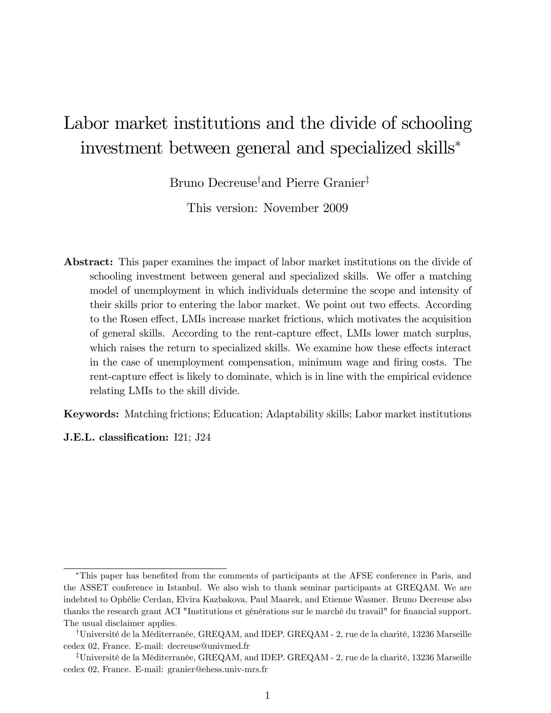# Labor market institutions and the divide of schooling investment between general and specialized skills

Bruno Decreuse<sup>†</sup> and Pierre Granier<sup>‡</sup>

This version: November 2009

Abstract: This paper examines the impact of labor market institutions on the divide of schooling investment between general and specialized skills. We offer a matching model of unemployment in which individuals determine the scope and intensity of their skills prior to entering the labor market. We point out two effects. According to the Rosen effect, LMIs increase market frictions, which motivates the acquisition of general skills. According to the rent-capture effect, LMIs lower match surplus, which raises the return to specialized skills. We examine how these effects interact in the case of unemployment compensation, minimum wage and Öring costs. The rent-capture effect is likely to dominate, which is in line with the empirical evidence relating LMIs to the skill divide.

Keywords: Matching frictions; Education; Adaptability skills; Labor market institutions

**J.E.L.** classification: I21; J24

This paper has beneÖted from the comments of participants at the AFSE conference in Paris, and the ASSET conference in Istanbul. We also wish to thank seminar participants at GREQAM. We are indebted to OphÈlie Cerdan, Elvira Kazbakova, Paul Maarek, and Etienne Wasmer. Bruno Decreuse also thanks the research grant ACI "Institutions et générations sur le marché du travail" for financial support. The usual disclaimer applies.

<sup>&</sup>lt;sup>†</sup>Université de la Méditerranée, GREQAM, and IDEP. GREQAM - 2, rue de la charité, 13236 Marseille cedex 02, France. E-mail: decreuse@univmed.fr

<sup>&</sup>lt;sup>‡</sup>Université de la Méditerranée, GREQAM, and IDEP. GREQAM - 2, rue de la charité, 13236 Marseille cedex 02, France. E-mail: granier@ehess.univ-mrs.fr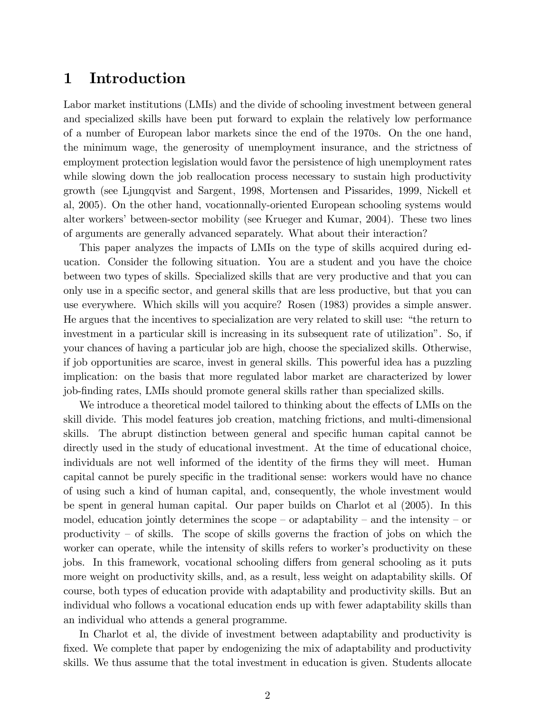# 1 Introduction

Labor market institutions (LMIs) and the divide of schooling investment between general and specialized skills have been put forward to explain the relatively low performance of a number of European labor markets since the end of the 1970s. On the one hand, the minimum wage, the generosity of unemployment insurance, and the strictness of employment protection legislation would favor the persistence of high unemployment rates while slowing down the job reallocation process necessary to sustain high productivity growth (see Ljungqvist and Sargent, 1998, Mortensen and Pissarides, 1999, Nickell et al, 2005). On the other hand, vocationnally-oriented European schooling systems would alter workers' between-sector mobility (see Krueger and Kumar, 2004). These two lines of arguments are generally advanced separately. What about their interaction?

This paper analyzes the impacts of LMIs on the type of skills acquired during education. Consider the following situation. You are a student and you have the choice between two types of skills. Specialized skills that are very productive and that you can only use in a specific sector, and general skills that are less productive, but that you can use everywhere. Which skills will you acquire? Rosen (1983) provides a simple answer. He argues that the incentives to specialization are very related to skill use: "the return to investment in a particular skill is increasing in its subsequent rate of utilizationî. So, if your chances of having a particular job are high, choose the specialized skills. Otherwise, if job opportunities are scarce, invest in general skills. This powerful idea has a puzzling implication: on the basis that more regulated labor market are characterized by lower job-Önding rates, LMIs should promote general skills rather than specialized skills.

We introduce a theoretical model tailored to thinking about the effects of LMIs on the skill divide. This model features job creation, matching frictions, and multi-dimensional skills. The abrupt distinction between general and specific human capital cannot be directly used in the study of educational investment. At the time of educational choice, individuals are not well informed of the identity of the firms they will meet. Human capital cannot be purely specific in the traditional sense: workers would have no chance of using such a kind of human capital, and, consequently, the whole investment would be spent in general human capital. Our paper builds on Charlot et al (2005). In this model, education jointly determines the scope  $-$  or adaptability  $-$  and the intensity  $-$  or productivity  $\overline{\phantom{a}}$  of skills. The scope of skills governs the fraction of jobs on which the worker can operate, while the intensity of skills refers to worker's productivity on these jobs. In this framework, vocational schooling differs from general schooling as it puts more weight on productivity skills, and, as a result, less weight on adaptability skills. Of course, both types of education provide with adaptability and productivity skills. But an individual who follows a vocational education ends up with fewer adaptability skills than an individual who attends a general programme.

In Charlot et al, the divide of investment between adaptability and productivity is fixed. We complete that paper by endogenizing the mix of adaptability and productivity skills. We thus assume that the total investment in education is given. Students allocate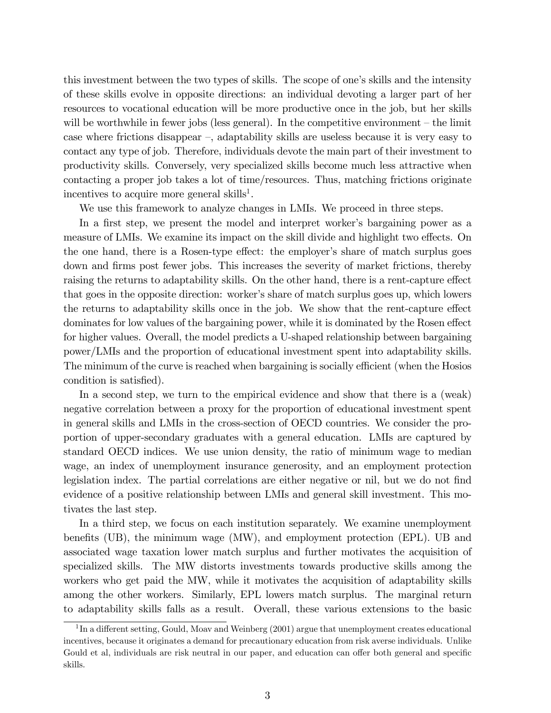this investment between the two types of skills. The scope of one's skills and the intensity of these skills evolve in opposite directions: an individual devoting a larger part of her resources to vocational education will be more productive once in the job, but her skills will be worthwhile in fewer jobs (less general). In the competitive environment  $-$  the limit case where frictions disappear  $\overline{\phantom{a}}$ , adaptability skills are useless because it is very easy to contact any type of job. Therefore, individuals devote the main part of their investment to productivity skills. Conversely, very specialized skills become much less attractive when contacting a proper job takes a lot of time/resources. Thus, matching frictions originate incentives to acquire more general skills<sup>1</sup>.

We use this framework to analyze changes in LMIs. We proceed in three steps.

In a first step, we present the model and interpret worker's bargaining power as a measure of LMIs. We examine its impact on the skill divide and highlight two effects. On the one hand, there is a Rosen-type effect: the employer's share of match surplus goes down and firms post fewer jobs. This increases the severity of market frictions, thereby raising the returns to adaptability skills. On the other hand, there is a rent-capture effect that goes in the opposite direction: worker's share of match surplus goes up, which lowers the returns to adaptability skills once in the job. We show that the rent-capture effect dominates for low values of the bargaining power, while it is dominated by the Rosen effect for higher values. Overall, the model predicts a U-shaped relationship between bargaining power/LMIs and the proportion of educational investment spent into adaptability skills. The minimum of the curve is reached when bargaining is socially efficient (when the Hosios condition is satisfied).

In a second step, we turn to the empirical evidence and show that there is a (weak) negative correlation between a proxy for the proportion of educational investment spent in general skills and LMIs in the cross-section of OECD countries. We consider the proportion of upper-secondary graduates with a general education. LMIs are captured by standard OECD indices. We use union density, the ratio of minimum wage to median wage, an index of unemployment insurance generosity, and an employment protection legislation index. The partial correlations are either negative or nil, but we do not find evidence of a positive relationship between LMIs and general skill investment. This motivates the last step.

In a third step, we focus on each institution separately. We examine unemployment benefits  $(UB)$ , the minimum wage  $(MW)$ , and employment protection  $(EPL)$ . UB and associated wage taxation lower match surplus and further motivates the acquisition of specialized skills. The MW distorts investments towards productive skills among the workers who get paid the MW, while it motivates the acquisition of adaptability skills among the other workers. Similarly, EPL lowers match surplus. The marginal return to adaptability skills falls as a result. Overall, these various extensions to the basic

 $1$ In a different setting, Gould, Moav and Weinberg (2001) argue that unemployment creates educational incentives, because it originates a demand for precautionary education from risk averse individuals. Unlike Gould et al, individuals are risk neutral in our paper, and education can offer both general and specific skills.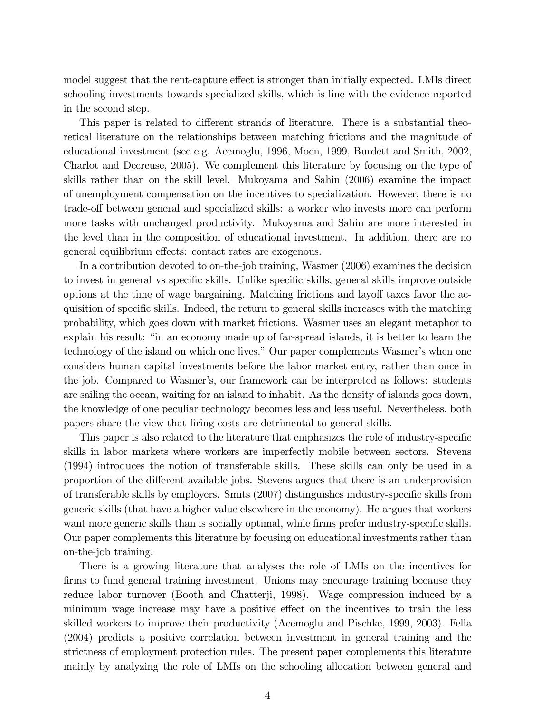model suggest that the rent-capture effect is stronger than initially expected. LMIs direct schooling investments towards specialized skills, which is line with the evidence reported in the second step.

This paper is related to different strands of literature. There is a substantial theoretical literature on the relationships between matching frictions and the magnitude of educational investment (see e.g. Acemoglu, 1996, Moen, 1999, Burdett and Smith, 2002, Charlot and Decreuse, 2005). We complement this literature by focusing on the type of skills rather than on the skill level. Mukoyama and Sahin (2006) examine the impact of unemployment compensation on the incentives to specialization. However, there is no trade-off between general and specialized skills: a worker who invests more can perform more tasks with unchanged productivity. Mukoyama and Sahin are more interested in the level than in the composition of educational investment. In addition, there are no general equilibrium effects: contact rates are exogenous.

In a contribution devoted to on-the-job training, Wasmer (2006) examines the decision to invest in general vs specific skills. Unlike specific skills, general skills improve outside options at the time of wage bargaining. Matching frictions and layoff taxes favor the acquisition of specific skills. Indeed, the return to general skills increases with the matching probability, which goes down with market frictions. Wasmer uses an elegant metaphor to explain his result: "in an economy made up of far-spread islands, it is better to learn the technology of the island on which one lives." Our paper complements Wasmer's when one considers human capital investments before the labor market entry, rather than once in the job. Compared to Wasmer's, our framework can be interpreted as follows: students are sailing the ocean, waiting for an island to inhabit. As the density of islands goes down, the knowledge of one peculiar technology becomes less and less useful. Nevertheless, both papers share the view that Öring costs are detrimental to general skills.

This paper is also related to the literature that emphasizes the role of industry-specific skills in labor markets where workers are imperfectly mobile between sectors. Stevens (1994) introduces the notion of transferable skills. These skills can only be used in a proportion of the different available jobs. Stevens argues that there is an underprovision of transferable skills by employers. Smits  $(2007)$  distinguishes industry-specific skills from generic skills (that have a higher value elsewhere in the economy). He argues that workers want more generic skills than is socially optimal, while firms prefer industry-specific skills. Our paper complements this literature by focusing on educational investments rather than on-the-job training.

There is a growing literature that analyses the role of LMIs on the incentives for firms to fund general training investment. Unions may encourage training because they reduce labor turnover (Booth and Chatterji, 1998). Wage compression induced by a minimum wage increase may have a positive effect on the incentives to train the less skilled workers to improve their productivity (Acemoglu and Pischke, 1999, 2003). Fella (2004) predicts a positive correlation between investment in general training and the strictness of employment protection rules. The present paper complements this literature mainly by analyzing the role of LMIs on the schooling allocation between general and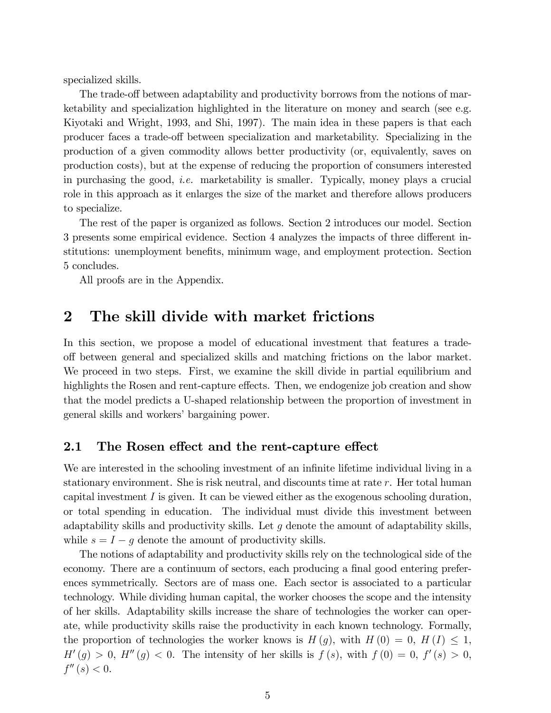specialized skills.

The trade-off between adaptability and productivity borrows from the notions of marketability and specialization highlighted in the literature on money and search (see e.g. Kiyotaki and Wright, 1993, and Shi, 1997). The main idea in these papers is that each producer faces a trade-off between specialization and marketability. Specializing in the production of a given commodity allows better productivity (or, equivalently, saves on production costs), but at the expense of reducing the proportion of consumers interested in purchasing the good, i.e. marketability is smaller. Typically, money plays a crucial role in this approach as it enlarges the size of the market and therefore allows producers to specialize.

The rest of the paper is organized as follows. Section 2 introduces our model. Section 3 presents some empirical evidence. Section 4 analyzes the impacts of three different institutions: unemployment benefits, minimum wage, and employment protection. Section 5 concludes.

All proofs are in the Appendix.

# 2 The skill divide with market frictions

In this section, we propose a model of educational investment that features a tradeo§ between general and specialized skills and matching frictions on the labor market. We proceed in two steps. First, we examine the skill divide in partial equilibrium and highlights the Rosen and rent-capture effects. Then, we endogenize job creation and show that the model predicts a U-shaped relationship between the proportion of investment in general skills and workers' bargaining power.

## 2.1 The Rosen effect and the rent-capture effect

We are interested in the schooling investment of an infinite lifetime individual living in a stationary environment. She is risk neutral, and discounts time at rate r. Her total human capital investment I is given. It can be viewed either as the exogenous schooling duration, or total spending in education. The individual must divide this investment between adaptability skills and productivity skills. Let  $q$  denote the amount of adaptability skills, while  $s = I - g$  denote the amount of productivity skills.

The notions of adaptability and productivity skills rely on the technological side of the economy. There are a continuum of sectors, each producing a final good entering preferences symmetrically. Sectors are of mass one. Each sector is associated to a particular technology. While dividing human capital, the worker chooses the scope and the intensity of her skills. Adaptability skills increase the share of technologies the worker can operate, while productivity skills raise the productivity in each known technology. Formally, the proportion of technologies the worker knows is  $H(g)$ , with  $H(0) = 0$ ,  $H(I) \leq 1$ ,  $H'(g) > 0$ ,  $H''(g) < 0$ . The intensity of her skills is  $f(s)$ , with  $f(0) = 0$ ,  $f'(s) > 0$ ,  $f''(s) < 0.$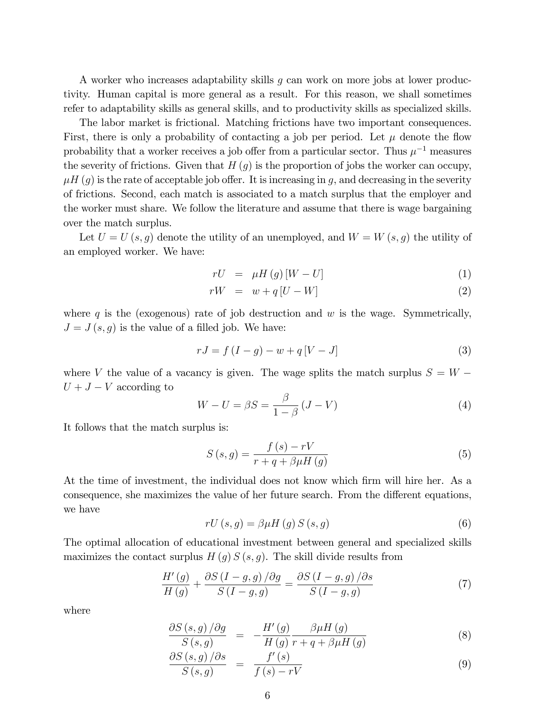A worker who increases adaptability skills g can work on more jobs at lower productivity. Human capital is more general as a result. For this reason, we shall sometimes refer to adaptability skills as general skills, and to productivity skills as specialized skills.

The labor market is frictional. Matching frictions have two important consequences. First, there is only a probability of contacting a job per period. Let  $\mu$  denote the flow probability that a worker receives a job offer from a particular sector. Thus  $\mu^{-1}$  measures the severity of frictions. Given that  $H(q)$  is the proportion of jobs the worker can occupy,  $\mu H$  (g) is the rate of acceptable job offer. It is increasing in g, and decreasing in the severity of frictions. Second, each match is associated to a match surplus that the employer and the worker must share. We follow the literature and assume that there is wage bargaining over the match surplus.

Let  $U = U(s, g)$  denote the utility of an unemployed, and  $W = W(s, g)$  the utility of an employed worker. We have:

$$
rU = \mu H\left(g\right)\left[W - U\right] \tag{1}
$$

$$
rW = w + q[U - W] \tag{2}
$$

where q is the (exogenous) rate of job destruction and  $w$  is the wage. Symmetrically,  $J = J(s, g)$  is the value of a filled job. We have:

$$
rJ = f(I - g) - w + q[V - J]
$$
\n(3)

where V the value of a vacancy is given. The wage splits the match surplus  $S = W U + J - V$  according to

$$
W - U = \beta S = \frac{\beta}{1 - \beta} (J - V)
$$
\n<sup>(4)</sup>

It follows that the match surplus is:

$$
S(s,g) = \frac{f(s) - rV}{r + q + \beta \mu H(g)}\tag{5}
$$

At the time of investment, the individual does not know which firm will hire her. As a consequence, she maximizes the value of her future search. From the different equations, we have

$$
rU(s,g) = \beta \mu H(g) S(s,g)
$$
\n<sup>(6)</sup>

The optimal allocation of educational investment between general and specialized skills maximizes the contact surplus  $H(g) S(s, g)$ . The skill divide results from

$$
\frac{H'(g)}{H(g)} + \frac{\partial S\left(I - g, g\right)/\partial g}{S\left(I - g, g\right)} = \frac{\partial S\left(I - g, g\right)/\partial s}{S\left(I - g, g\right)}\tag{7}
$$

where

$$
\frac{\partial S\left(s,g\right)/\partial g}{S\left(s,g\right)} = -\frac{H'\left(g\right)}{H\left(g\right)} \frac{\beta \mu H\left(g\right)}{r+q+\beta \mu H\left(g\right)}\tag{8}
$$

$$
\frac{\partial S\left(s,g\right)/\partial s}{S\left(s,g\right)} = \frac{f'(s)}{f\left(s\right) - rV} \tag{9}
$$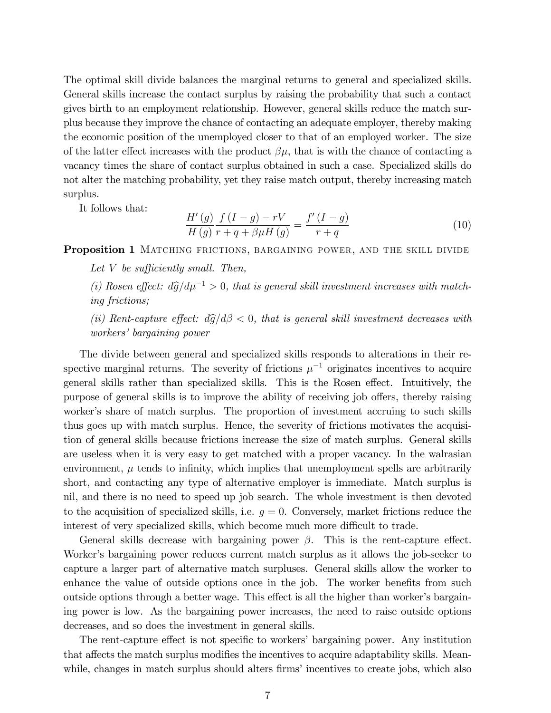The optimal skill divide balances the marginal returns to general and specialized skills. General skills increase the contact surplus by raising the probability that such a contact gives birth to an employment relationship. However, general skills reduce the match surplus because they improve the chance of contacting an adequate employer, thereby making the economic position of the unemployed closer to that of an employed worker. The size of the latter effect increases with the product  $\beta\mu$ , that is with the chance of contacting a vacancy times the share of contact surplus obtained in such a case. Specialized skills do not alter the matching probability, yet they raise match output, thereby increasing match surplus.

It follows that:

$$
\frac{H'(g)}{H(g)} \frac{f(I-g) - rV}{r + q + \beta \mu H(g)} = \frac{f'(I-g)}{r + q}
$$
\n(10)

Proposition 1 MATCHING FRICTIONS, BARGAINING POWER, AND THE SKILL DIVIDE

- Let V be sufficiently small. Then,
- (i) Rosen effect:  $d\hat{g}/d\mu^{-1} > 0$ , that is general skill investment increases with matching frictions;

(ii) Rent-capture effect:  $d\hat{g}/d\beta < 0$ , that is general skill investment decreases with workers' bargaining power

The divide between general and specialized skills responds to alterations in their respective marginal returns. The severity of frictions  $\mu^{-1}$  originates incentives to acquire general skills rather than specialized skills. This is the Rosen effect. Intuitively, the purpose of general skills is to improve the ability of receiving job offers, thereby raising worker's share of match surplus. The proportion of investment accruing to such skills thus goes up with match surplus. Hence, the severity of frictions motivates the acquisition of general skills because frictions increase the size of match surplus. General skills are useless when it is very easy to get matched with a proper vacancy. In the walrasian environment,  $\mu$  tends to infinity, which implies that unemployment spells are arbitrarily short, and contacting any type of alternative employer is immediate. Match surplus is nil, and there is no need to speed up job search. The whole investment is then devoted to the acquisition of specialized skills, i.e.  $q = 0$ . Conversely, market frictions reduce the interest of very specialized skills, which become much more difficult to trade.

General skills decrease with bargaining power  $\beta$ . This is the rent-capture effect. Worker's bargaining power reduces current match surplus as it allows the job-seeker to capture a larger part of alternative match surpluses. General skills allow the worker to enhance the value of outside options once in the job. The worker benefits from such outside options through a better wage. This effect is all the higher than worker's bargaining power is low. As the bargaining power increases, the need to raise outside options decreases, and so does the investment in general skills.

The rent-capture effect is not specific to workers' bargaining power. Any institution that affects the match surplus modifies the incentives to acquire adaptability skills. Meanwhile, changes in match surplus should alters firms' incentives to create jobs, which also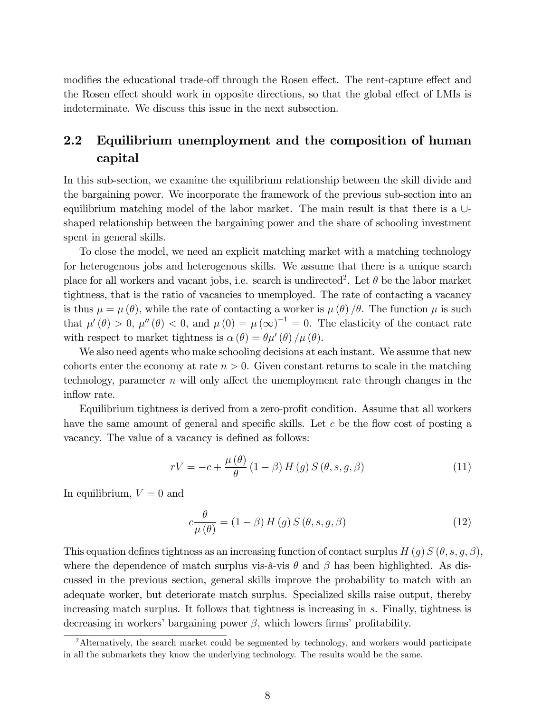modifies the educational trade-off through the Rosen effect. The rent-capture effect and the Rosen effect should work in opposite directions, so that the global effect of LMIs is indeterminate. We discuss this issue in the next subsection.

# 2.2 Equilibrium unemployment and the composition of human capital

In this sub-section, we examine the equilibrium relationship between the skill divide and the bargaining power. We incorporate the framework of the previous sub-section into an equilibrium matching model of the labor market. The main result is that there is a  $\cup$ shaped relationship between the bargaining power and the share of schooling investment spent in general skills.

To close the model, we need an explicit matching market with a matching technology for heterogenous jobs and heterogenous skills. We assume that there is a unique search place for all workers and vacant jobs, i.e. search is undirected<sup>2</sup>. Let  $\theta$  be the labor market tightness, that is the ratio of vacancies to unemployed. The rate of contacting a vacancy is thus  $\mu = \mu(\theta)$ , while the rate of contacting a worker is  $\mu(\theta)/\theta$ . The function  $\mu$  is such that  $\mu'(\theta) > 0$ ,  $\mu''(\theta) < 0$ , and  $\mu(0) = \mu(\infty)^{-1} = 0$ . The elasticity of the contact rate with respect to market tightness is  $\alpha(\theta) = \theta \mu'(\theta) / \mu(\theta)$ .

We also need agents who make schooling decisions at each instant. We assume that new cohorts enter the economy at rate  $n > 0$ . Given constant returns to scale in the matching technology, parameter  $n$  will only affect the unemployment rate through changes in the inflow rate.

Equilibrium tightness is derived from a zero-profit condition. Assume that all workers have the same amount of general and specific skills. Let  $c$  be the flow cost of posting a vacancy. The value of a vacancy is defined as follows:

$$
rV = -c + \frac{\mu(\theta)}{\theta} (1 - \beta) H(g) S(\theta, s, g, \beta)
$$
\n(11)

In equilibrium,  $V = 0$  and

$$
c\frac{\theta}{\mu(\theta)} = (1 - \beta) H(g) S(\theta, s, g, \beta)
$$
\n(12)

This equation defines tightness as an increasing function of contact surplus  $H(g) S(\theta, s, g, \beta)$ , where the dependence of match surplus vis- $\hat{a}$ -vis  $\theta$  and  $\beta$  has been highlighted. As discussed in the previous section, general skills improve the probability to match with an adequate worker, but deteriorate match surplus. Specialized skills raise output, thereby increasing match surplus. It follows that tightness is increasing in s. Finally, tightness is decreasing in workers' bargaining power  $\beta$ , which lowers firms' profitability.

<sup>&</sup>lt;sup>2</sup>Alternatively, the search market could be segmented by technology, and workers would participate in all the submarkets they know the underlying technology. The results would be the same.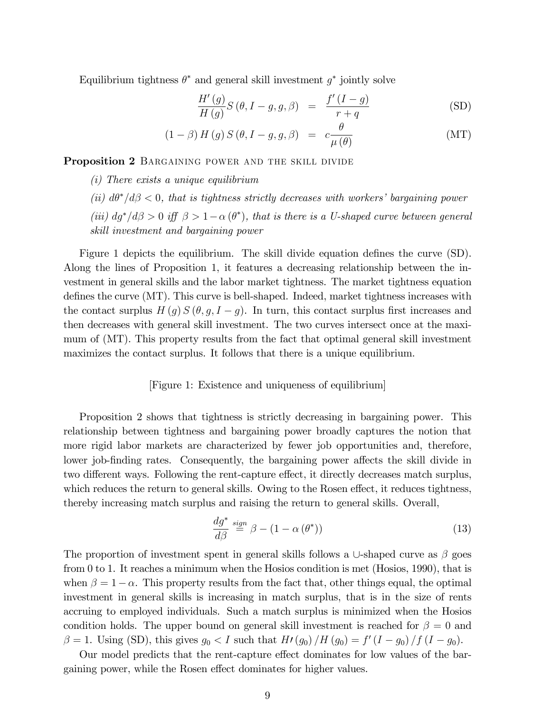Equilibrium tightness  $\theta^*$  and general skill investment  $g^*$  jointly solve

$$
\frac{H'(g)}{H(g)}S(\theta, I-g, g, \beta) = \frac{f'(I-g)}{r+q}
$$
 (SD)

$$
(1 - \beta) H(g) S(\theta, I - g, g, \beta) = c \frac{\theta}{\mu(\theta)}
$$
 (MT)

Proposition 2 BARGAINING POWER AND THE SKILL DIVIDE

- (i) There exists a unique equilibrium
- (ii)  $d\theta^*/d\beta$  < 0, that is tightness strictly decreases with workers' bargaining power (iii)  $dg^*/d\beta > 0$  iff  $\beta > 1 - \alpha(\theta^*)$ , that is there is a U-shaped curve between general skill investment and bargaining power

Figure 1 depicts the equilibrium. The skill divide equation defines the curve (SD). Along the lines of Proposition 1, it features a decreasing relationship between the investment in general skills and the labor market tightness. The market tightness equation defines the curve  $(MT)$ . This curve is bell-shaped. Indeed, market tightness increases with the contact surplus  $H(g) S(\theta, g, I - g)$ . In turn, this contact surplus first increases and then decreases with general skill investment. The two curves intersect once at the maximum of (MT). This property results from the fact that optimal general skill investment maximizes the contact surplus. It follows that there is a unique equilibrium.

#### [Figure 1: Existence and uniqueness of equilibrium]

Proposition 2 shows that tightness is strictly decreasing in bargaining power. This relationship between tightness and bargaining power broadly captures the notion that more rigid labor markets are characterized by fewer job opportunities and, therefore, lower job-finding rates. Consequently, the bargaining power affects the skill divide in two different ways. Following the rent-capture effect, it directly decreases match surplus, which reduces the return to general skills. Owing to the Rosen effect, it reduces tightness, thereby increasing match surplus and raising the return to general skills. Overall,

$$
\frac{dg^*}{d\beta} \stackrel{sign}{=} \beta - (1 - \alpha(\theta^*)) \tag{13}
$$

The proportion of investment spent in general skills follows a  $\cup$ -shaped curve as  $\beta$  goes from 0 to 1. It reaches a minimum when the Hosios condition is met (Hosios, 1990), that is when  $\beta = 1 - \alpha$ . This property results from the fact that, other things equal, the optimal investment in general skills is increasing in match surplus, that is in the size of rents accruing to employed individuals. Such a match surplus is minimized when the Hosios condition holds. The upper bound on general skill investment is reached for  $\beta = 0$  and  $\beta = 1$ . Using (SD), this gives  $g_0 < I$  such that  $H(g_0)/H(g_0) = f'(I - g_0)/f(I - g_0)$ .

Our model predicts that the rent-capture effect dominates for low values of the bargaining power, while the Rosen effect dominates for higher values.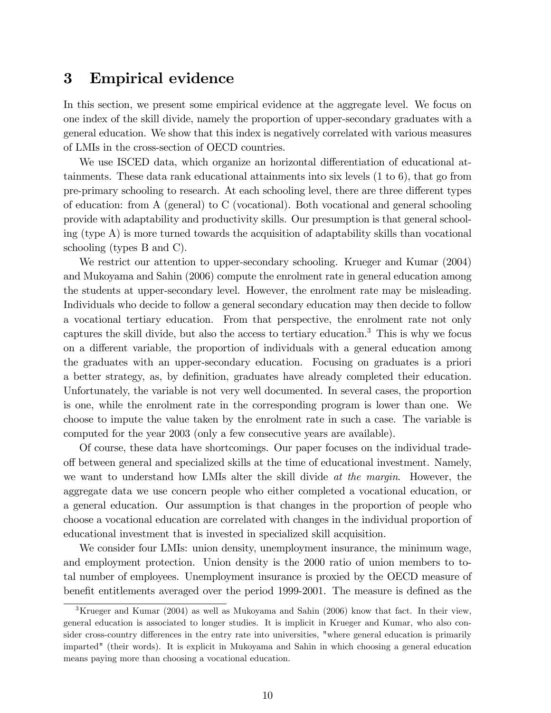# 3 Empirical evidence

In this section, we present some empirical evidence at the aggregate level. We focus on one index of the skill divide, namely the proportion of upper-secondary graduates with a general education. We show that this index is negatively correlated with various measures of LMIs in the cross-section of OECD countries.

We use ISCED data, which organize an horizontal differentiation of educational attainments. These data rank educational attainments into six levels (1 to 6), that go from pre-primary schooling to research. At each schooling level, there are three different types of education: from A (general) to C (vocational). Both vocational and general schooling provide with adaptability and productivity skills. Our presumption is that general schooling (type A) is more turned towards the acquisition of adaptability skills than vocational schooling (types B and C).

We restrict our attention to upper-secondary schooling. Krueger and Kumar (2004) and Mukoyama and Sahin (2006) compute the enrolment rate in general education among the students at upper-secondary level. However, the enrolment rate may be misleading. Individuals who decide to follow a general secondary education may then decide to follow a vocational tertiary education. From that perspective, the enrolment rate not only captures the skill divide, but also the access to tertiary education.<sup>3</sup> This is why we focus on a different variable, the proportion of individuals with a general education among the graduates with an upper-secondary education. Focusing on graduates is a priori a better strategy, as, by definition, graduates have already completed their education. Unfortunately, the variable is not very well documented. In several cases, the proportion is one, while the enrolment rate in the corresponding program is lower than one. We choose to impute the value taken by the enrolment rate in such a case. The variable is computed for the year 2003 (only a few consecutive years are available).

Of course, these data have shortcomings. Our paper focuses on the individual tradeo§ between general and specialized skills at the time of educational investment. Namely, we want to understand how LMIs alter the skill divide at the margin. However, the aggregate data we use concern people who either completed a vocational education, or a general education. Our assumption is that changes in the proportion of people who choose a vocational education are correlated with changes in the individual proportion of educational investment that is invested in specialized skill acquisition.

We consider four LMIs: union density, unemployment insurance, the minimum wage, and employment protection. Union density is the 2000 ratio of union members to total number of employees. Unemployment insurance is proxied by the OECD measure of benefit entitlements averaged over the period 1999-2001. The measure is defined as the

<sup>&</sup>lt;sup>3</sup>Krueger and Kumar (2004) as well as Mukoyama and Sahin (2006) know that fact. In their view, general education is associated to longer studies. It is implicit in Krueger and Kumar, who also consider cross-country differences in the entry rate into universities, "where general education is primarily imparted" (their words). It is explicit in Mukoyama and Sahin in which choosing a general education means paying more than choosing a vocational education.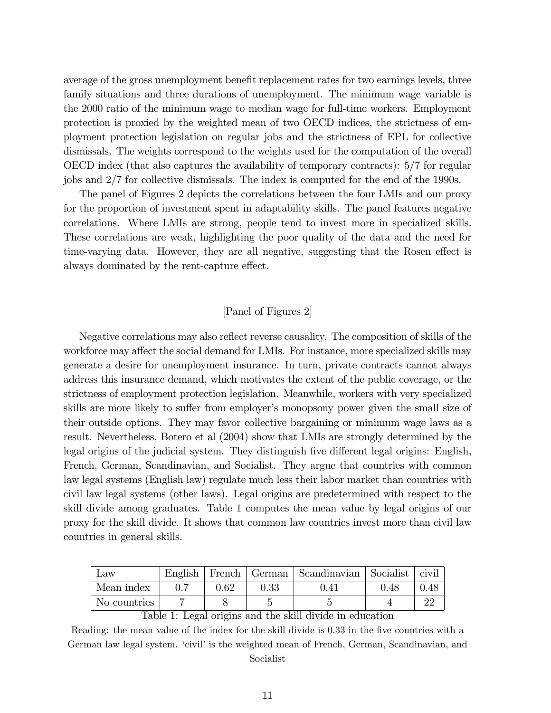average of the gross unemployment benefit replacement rates for two earnings levels, three family situations and three durations of unemployment. The minimum wage variable is the 2000 ratio of the minimum wage to median wage for full-time workers. Employment protection is proxied by the weighted mean of two OECD indices, the strictness of employment protection legislation on regular jobs and the strictness of EPL for collective dismissals. The weights correspond to the weights used for the computation of the overall OECD index (that also captures the availability of temporary contracts): 5/7 for regular jobs and 2/7 for collective dismissals. The index is computed for the end of the 1990s.

The panel of Figures 2 depicts the correlations between the four LMIs and our proxy for the proportion of investment spent in adaptability skills. The panel features negative correlations. Where LMIs are strong, people tend to invest more in specialized skills. These correlations are weak, highlighting the poor quality of the data and the need for time-varying data. However, they are all negative, suggesting that the Rosen effect is always dominated by the rent-capture effect.

### [Panel of Figures 2]

Negative correlations may also reflect reverse causality. The composition of skills of the workforce may affect the social demand for LMIs. For instance, more specialized skills may generate a desire for unemployment insurance. In turn, private contracts cannot always address this insurance demand, which motivates the extent of the public coverage, or the strictness of employment protection legislation. Meanwhile, workers with very specialized skills are more likely to suffer from employer's monopsony power given the small size of their outside options. They may favor collective bargaining or minimum wage laws as a result. Nevertheless, Botero et al (2004) show that LMIs are strongly determined by the legal origins of the judicial system. They distinguish five different legal origins: English, French, German, Scandinavian, and Socialist. They argue that countries with common law legal systems (English law) regulate much less their labor market than countries with civil law legal systems (other laws). Legal origins are predetermined with respect to the skill divide among graduates. Table 1 computes the mean value by legal origins of our proxy for the skill divide. It shows that common law countries invest more than civil law countries in general skills.

| Mean index<br>ነ 69<br>0.33<br>0.48<br>$14^{\circ}$ | Law          | English | French | German   Scandinavian   Socialist | civil |
|----------------------------------------------------|--------------|---------|--------|-----------------------------------|-------|
|                                                    |              |         |        |                                   | 0.48  |
|                                                    | No countries |         |        |                                   |       |

Table 1: Legal origins and the skill divide in education

Reading: the mean value of the index for the skill divide is 0.33 in the five countries with a German law legal system. 'civil' is the weighted mean of French, German, Scandinavian, and Socialist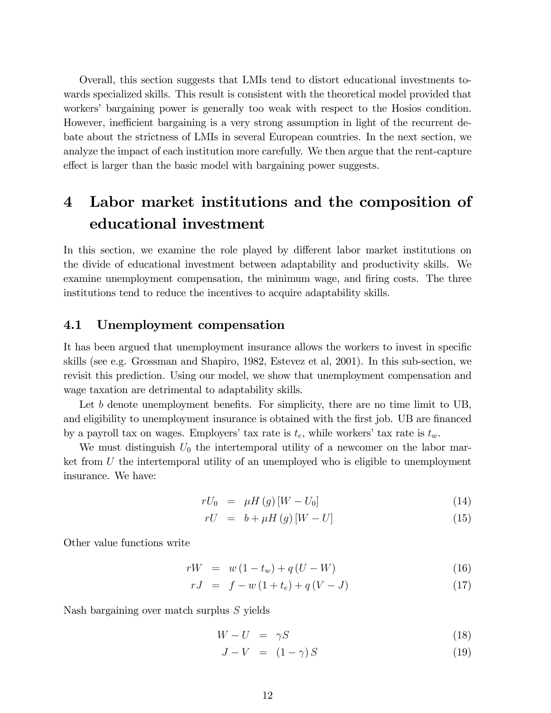Overall, this section suggests that LMIs tend to distort educational investments towards specialized skills. This result is consistent with the theoretical model provided that workers' bargaining power is generally too weak with respect to the Hosios condition. However, inefficient bargaining is a very strong assumption in light of the recurrent debate about the strictness of LMIs in several European countries. In the next section, we analyze the impact of each institution more carefully. We then argue that the rent-capture effect is larger than the basic model with bargaining power suggests.

# 4 Labor market institutions and the composition of educational investment

In this section, we examine the role played by different labor market institutions on the divide of educational investment between adaptability and productivity skills. We examine unemployment compensation, the minimum wage, and firing costs. The three institutions tend to reduce the incentives to acquire adaptability skills.

### 4.1 Unemployment compensation

It has been argued that unemployment insurance allows the workers to invest in specific skills (see e.g. Grossman and Shapiro, 1982, Estevez et al, 2001). In this sub-section, we revisit this prediction. Using our model, we show that unemployment compensation and wage taxation are detrimental to adaptability skills.

Let b denote unemployment benefits. For simplicity, there are no time limit to  $UB$ , and eligibility to unemployment insurance is obtained with the first job. UB are financed by a payroll tax on wages. Employers' tax rate is  $t_e$ , while workers' tax rate is  $t_w$ .

We must distinguish  $U_0$  the intertemporal utility of a newcomer on the labor market from  $U$  the intertemporal utility of an unemployed who is eligible to unemployment insurance. We have:

$$
rU_0 = \mu H\left(g\right)\left[W - U_0\right] \tag{14}
$$

$$
rU = b + \mu H\left(g\right)\left[W - U\right] \tag{15}
$$

Other value functions write

$$
rW = w(1 - t_w) + q(U - W)
$$
\n(16)

$$
rJ = f - w(1 + t_e) + q(V - J)
$$
\n(17)

Nash bargaining over match surplus S yields

$$
W - U = \gamma S \tag{18}
$$

$$
J - V = (1 - \gamma) S \tag{19}
$$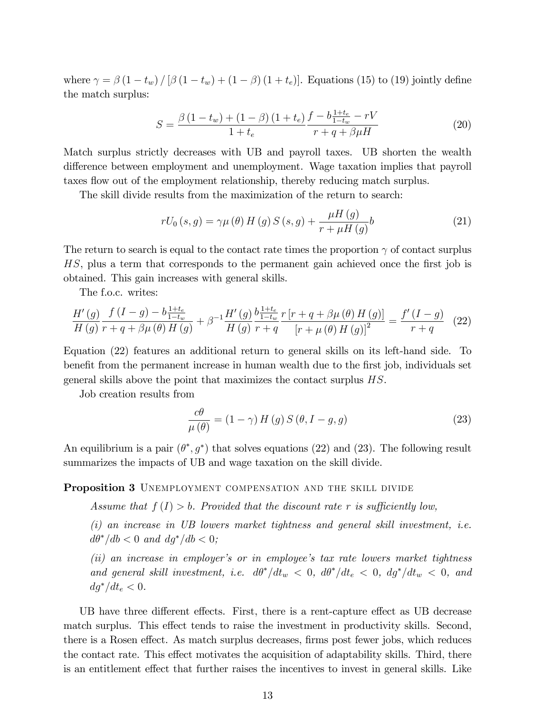where  $\gamma = \beta (1 - t_w) / [\beta (1 - t_w) + (1 - \beta) (1 + t_e)].$  Equations (15) to (19) jointly define the match surplus:

$$
S = \frac{\beta (1 - t_w) + (1 - \beta) (1 + t_e)}{1 + t_e} \frac{f - b \frac{1 + t_e}{1 - t_w} - rV}{r + q + \beta \mu H}
$$
(20)

Match surplus strictly decreases with UB and payroll taxes. UB shorten the wealth difference between employment and unemployment. Wage taxation implies that payroll taxes flow out of the employment relationship, thereby reducing match surplus.

The skill divide results from the maximization of the return to search:

$$
rU_0(s,g) = \gamma \mu(\theta) H(g) S(s,g) + \frac{\mu H(g)}{r + \mu H(g)} b \tag{21}
$$

The return to search is equal to the contact rate times the proportion  $\gamma$  of contact surplus HS, plus a term that corresponds to the permanent gain achieved once the first job is obtained. This gain increases with general skills.

The f.o.c. writes:

$$
\frac{H'(g)}{H(g)} \frac{f(I-g) - b\frac{1+t_e}{1-t_w}}{r+q+\beta\mu(\theta) H(g)} + \beta^{-1} \frac{H'(g)}{H(g)} \frac{b\frac{1+t_e}{1-t_w}}{r+q} \frac{r[r+q+\beta\mu(\theta) H(g)]}{[r+\mu(\theta) H(g)]^2} = \frac{f'(I-g)}{r+q} \tag{22}
$$

Equation (22) features an additional return to general skills on its left-hand side. To benefit from the permanent increase in human wealth due to the first job, individuals set general skills above the point that maximizes the contact surplus HS.

Job creation results from

$$
\frac{c\theta}{\mu(\theta)} = (1 - \gamma) H(g) S(\theta, I - g, g)
$$
\n(23)

An equilibrium is a pair  $(\theta^*, g^*)$  that solves equations (22) and (23). The following result summarizes the impacts of UB and wage taxation on the skill divide.

#### Proposition 3 UNEMPLOYMENT COMPENSATION AND THE SKILL DIVIDE

Assume that  $f(I) > b$ . Provided that the discount rate r is sufficiently low,

(i) an increase in UB lowers market tightness and general skill investment, i.e.  $d\theta^*/db < 0$  and  $dg^*/db < 0$ ;

(ii) an increase in employer's or in employee's tax rate lowers market tightness and general skill investment, i.e.  $d\theta^*/dt_w < 0$ ,  $d\theta^*/dt_e < 0$ ,  $dg^*/dt_w < 0$ , and  $dg^*/dt_e < 0$ .

UB have three different effects. First, there is a rent-capture effect as UB decrease match surplus. This effect tends to raise the investment in productivity skills. Second, there is a Rosen effect. As match surplus decreases, firms post fewer jobs, which reduces the contact rate. This effect motivates the acquisition of adaptability skills. Third, there is an entitlement effect that further raises the incentives to invest in general skills. Like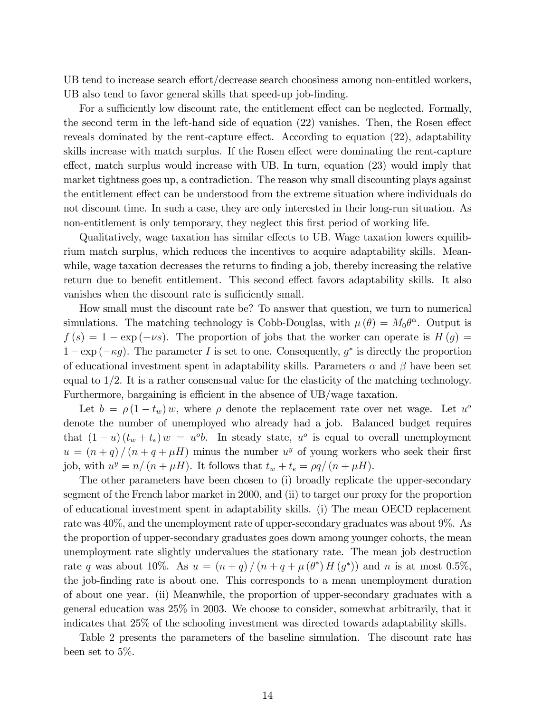UB tend to increase search effort/decrease search choosiness among non-entitled workers, UB also tend to favor general skills that speed-up job-finding.

For a sufficiently low discount rate, the entitlement effect can be neglected. Formally, the second term in the left-hand side of equation  $(22)$  vanishes. Then, the Rosen effect reveals dominated by the rent-capture effect. According to equation  $(22)$ , adaptability skills increase with match surplus. If the Rosen effect were dominating the rent-capture effect, match surplus would increase with UB. In turn, equation  $(23)$  would imply that market tightness goes up, a contradiction. The reason why small discounting plays against the entitlement effect can be understood from the extreme situation where individuals do not discount time. In such a case, they are only interested in their long-run situation. As non-entitlement is only temporary, they neglect this first period of working life.

Qualitatively, wage taxation has similar effects to UB. Wage taxation lowers equilibrium match surplus, which reduces the incentives to acquire adaptability skills. Meanwhile, wage taxation decreases the returns to finding a job, thereby increasing the relative return due to benefit entitlement. This second effect favors adaptability skills. It also vanishes when the discount rate is sufficiently small.

How small must the discount rate be? To answer that question, we turn to numerical simulations. The matching technology is Cobb-Douglas, with  $\mu(\theta) = M_0 \theta^{\alpha}$ . Output is  $f(s) = 1 - \exp(-\nu s)$ . The proportion of jobs that the worker can operate is  $H(g) =$  $1 - \exp(-\kappa g)$ . The parameter I is set to one. Consequently,  $g^*$  is directly the proportion of educational investment spent in adaptability skills. Parameters  $\alpha$  and  $\beta$  have been set equal to 1/2. It is a rather consensual value for the elasticity of the matching technology. Furthermore, bargaining is efficient in the absence of  $UB/wage$  taxation.

Let  $b = \rho (1 - t_w) w$ , where  $\rho$  denote the replacement rate over net wage. Let  $u^o$ denote the number of unemployed who already had a job. Balanced budget requires that  $(1 - u)(t_w + t_e) w = u^{\circ}b$ . In steady state,  $u^{\circ}$  is equal to overall unemployment  $u = (n+q)/(n+q+\mu H)$  minus the number  $u^y$  of young workers who seek their first job, with  $u^y = n/(n + \mu H)$ . It follows that  $t_w + t_e = \rho q/(n + \mu H)$ .

The other parameters have been chosen to (i) broadly replicate the upper-secondary segment of the French labor market in 2000, and (ii) to target our proxy for the proportion of educational investment spent in adaptability skills. (i) The mean OECD replacement rate was 40%, and the unemployment rate of upper-secondary graduates was about 9%. As the proportion of upper-secondary graduates goes down among younger cohorts, the mean unemployment rate slightly undervalues the stationary rate. The mean job destruction rate q was about 10%. As  $u = (n+q)/(n+q+\mu(\theta^*)H(g^*))$  and n is at most 0.5%, the job-Önding rate is about one. This corresponds to a mean unemployment duration of about one year. (ii) Meanwhile, the proportion of upper-secondary graduates with a general education was 25% in 2003. We choose to consider, somewhat arbitrarily, that it indicates that 25% of the schooling investment was directed towards adaptability skills.

Table 2 presents the parameters of the baseline simulation. The discount rate has been set to 5%.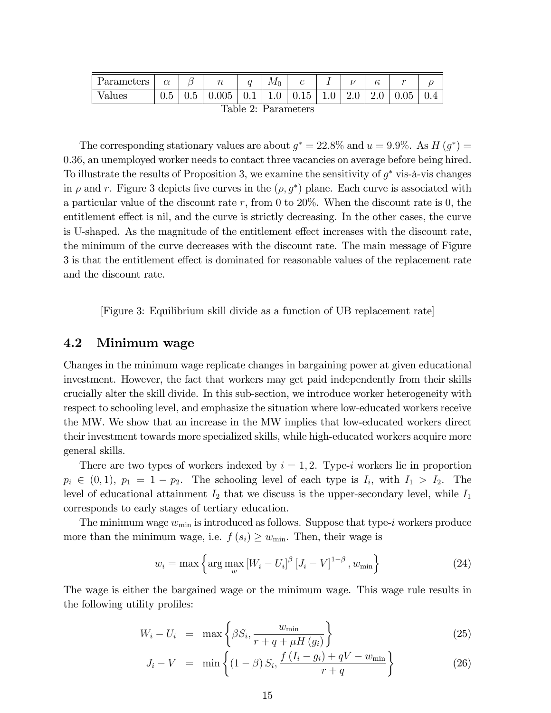| Parameters                          | $\alpha$ |     | $\, n$ |         | $M_0$ |      | -   | . . | υ   | $\sim$ |     |
|-------------------------------------|----------|-----|--------|---------|-------|------|-----|-----|-----|--------|-----|
| Values                              | U.5      | U.5 | 0.005  | $0.1\,$ | 1.0   | 0.15 | 1.0 | 2.0 | 2.0 | 0.05   | 0.4 |
| $\Gamma_{\alpha}$ kko 0. Domanickom |          |     |        |         |       |      |     |     |     |        |     |

|  |  | Table 2: Parameters |  |
|--|--|---------------------|--|

The corresponding stationary values are about  $g^* = 22.8\%$  and  $u = 9.9\%$ . As  $H(g^*) =$ 0:36, an unemployed worker needs to contact three vacancies on average before being hired. To illustrate the results of Proposition 3, we examine the sensitivity of  $g^*$  vis-à-vis changes in  $\rho$  and r. Figure 3 depicts five curves in the  $(\rho, g^*)$  plane. Each curve is associated with a particular value of the discount rate r, from 0 to 20%. When the discount rate is 0, the entitlement effect is nil, and the curve is strictly decreasing. In the other cases, the curve is U-shaped. As the magnitude of the entitlement effect increases with the discount rate, the minimum of the curve decreases with the discount rate. The main message of Figure 3 is that the entitlement effect is dominated for reasonable values of the replacement rate and the discount rate.

[Figure 3: Equilibrium skill divide as a function of UB replacement rate]

## 4.2 Minimum wage

Changes in the minimum wage replicate changes in bargaining power at given educational investment. However, the fact that workers may get paid independently from their skills crucially alter the skill divide. In this sub-section, we introduce worker heterogeneity with respect to schooling level, and emphasize the situation where low-educated workers receive the MW. We show that an increase in the MW implies that low-educated workers direct their investment towards more specialized skills, while high-educated workers acquire more general skills.

There are two types of workers indexed by  $i = 1, 2$ . Type-i workers lie in proportion  $p_i \in (0,1)$ ,  $p_1 = 1 - p_2$ . The schooling level of each type is  $I_i$ , with  $I_1 > I_2$ . The level of educational attainment  $I_2$  that we discuss is the upper-secondary level, while  $I_1$ corresponds to early stages of tertiary education.

The minimum wage  $w_{\text{min}}$  is introduced as follows. Suppose that type-i workers produce more than the minimum wage, i.e.  $f(s_i) \geq w_{\min}$ . Then, their wage is

$$
w_i = \max\left\{\arg\max_{w} \left[W_i - U_i\right]^\beta \left[J_i - V\right]^{1-\beta}, w_{\min}\right\} \tag{24}
$$

The wage is either the bargained wage or the minimum wage. This wage rule results in the following utility profiles:

$$
W_i - U_i = \max\left\{\beta S_i, \frac{w_{\min}}{r + q + \mu H(g_i)}\right\} \tag{25}
$$

$$
J_i - V = \min \left\{ (1 - \beta) S_i, \frac{f(I_i - g_i) + qV - w_{\min}}{r + q} \right\}
$$
 (26)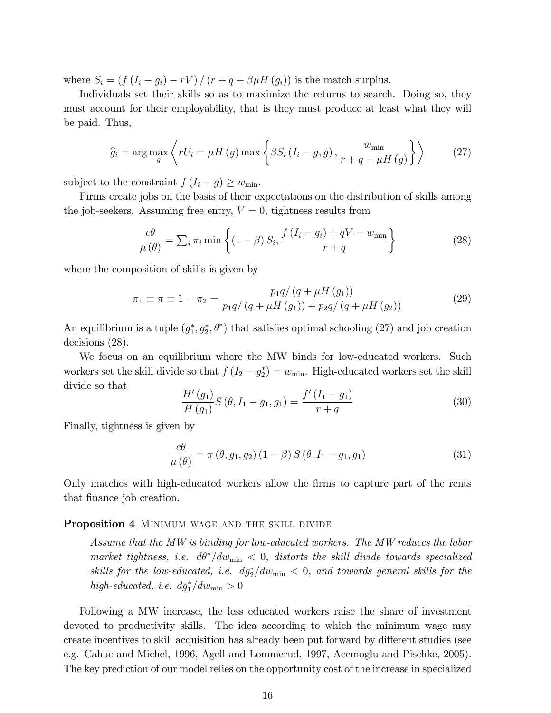where  $S_i = (f(I_i - g_i) - rV) / (r + q + \beta \mu H(g_i))$  is the match surplus.

Individuals set their skills so as to maximize the returns to search. Doing so, they must account for their employability, that is they must produce at least what they will be paid. Thus,

$$
\widehat{g}_i = \arg \max_{g} \left\langle rU_i = \mu H\left(g\right) \max \left\{\beta S_i \left(I_i - g, g\right), \frac{w_{\min}}{r + q + \mu H\left(g\right)}\right\}\right\rangle \tag{27}
$$

subject to the constraint  $f(I_i - g) \geq w_{\min}$ .

Firms create jobs on the basis of their expectations on the distribution of skills among the job-seekers. Assuming free entry,  $V = 0$ , tightness results from

$$
\frac{c\theta}{\mu(\theta)} = \sum_{i} \pi_i \min\left\{ (1-\beta) S_i, \frac{f(I_i - g_i) + qV - w_{\min}}{r+q} \right\}
$$
\n(28)

where the composition of skills is given by

$$
\pi_1 \equiv \pi \equiv 1 - \pi_2 = \frac{p_1 q / (q + \mu H (g_1))}{p_1 q / (q + \mu H (g_1)) + p_2 q / (q + \mu H (g_2))}
$$
(29)

An equilibrium is a tuple  $(g_1^*, g_2^*, \theta^*)$  that satisfies optimal schooling (27) and job creation decisions (28).

We focus on an equilibrium where the MW binds for low-educated workers. Such workers set the skill divide so that  $f(I_2 - g_2^*) = w_{\min}$ . High-educated workers set the skill divide so that

$$
\frac{H'(g_1)}{H(g_1)}S(\theta, I_1 - g_1, g_1) = \frac{f'(I_1 - g_1)}{r + q}
$$
\n(30)

Finally, tightness is given by

$$
\frac{c\theta}{\mu(\theta)} = \pi(\theta, g_1, g_2) (1 - \beta) S(\theta, I_1 - g_1, g_1)
$$
\n(31)

Only matches with high-educated workers allow the firms to capture part of the rents that finance job creation.

#### Proposition 4 MINIMUM WAGE AND THE SKILL DIVIDE

Assume that the MW is binding for low-educated workers. The MW reduces the labor market tightness, i.e.  $d\theta^*/dw_{\min} < 0$ , distorts the skill divide towards specialized skills for the low-educated, i.e.  $dg_2^*/dw_{\min} < 0$ , and towards general skills for the high-educated, i.e.  $dg_1^*/dw_{\min} > 0$ 

Following a MW increase, the less educated workers raise the share of investment devoted to productivity skills. The idea according to which the minimum wage may create incentives to skill acquisition has already been put forward by different studies (see e.g. Cahuc and Michel, 1996, Agell and Lommerud, 1997, Acemoglu and Pischke, 2005). The key prediction of our model relies on the opportunity cost of the increase in specialized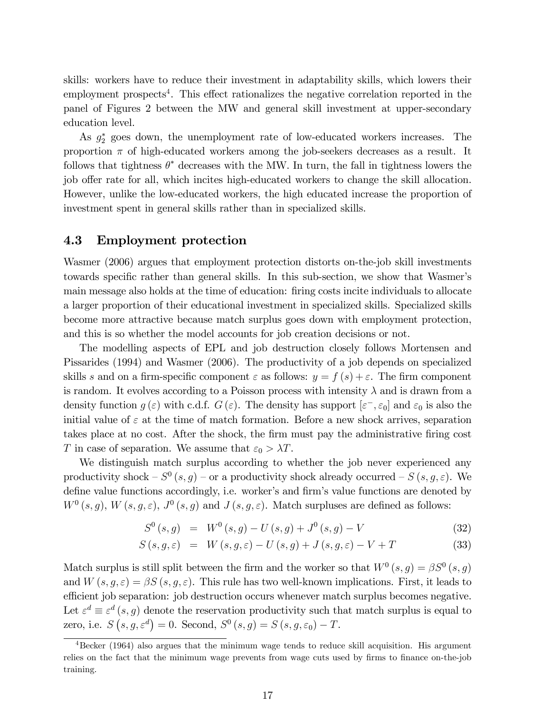skills: workers have to reduce their investment in adaptability skills, which lowers their employment prospects<sup>4</sup>. This effect rationalizes the negative correlation reported in the panel of Figures 2 between the MW and general skill investment at upper-secondary education level.

As  $g_2^*$  goes down, the unemployment rate of low-educated workers increases. The proportion  $\pi$  of high-educated workers among the job-seekers decreases as a result. It follows that tightness  $\theta^*$  decreases with the MW. In turn, the fall in tightness lowers the job offer rate for all, which incites high-educated workers to change the skill allocation. However, unlike the low-educated workers, the high educated increase the proportion of investment spent in general skills rather than in specialized skills.

#### 4.3 Employment protection

Wasmer (2006) argues that employment protection distorts on-the-job skill investments towards specific rather than general skills. In this sub-section, we show that Wasmer's main message also holds at the time of education: Öring costs incite individuals to allocate a larger proportion of their educational investment in specialized skills. Specialized skills become more attractive because match surplus goes down with employment protection, and this is so whether the model accounts for job creation decisions or not.

The modelling aspects of EPL and job destruction closely follows Mortensen and Pissarides (1994) and Wasmer (2006). The productivity of a job depends on specialized skills s and on a firm-specific component  $\varepsilon$  as follows:  $y = f(s) + \varepsilon$ . The firm component is random. It evolves according to a Poisson process with intensity  $\lambda$  and is drawn from a density function  $g(\varepsilon)$  with c.d.f.  $G(\varepsilon)$ . The density has support  $[\varepsilon^-,\varepsilon_0]$  and  $\varepsilon_0$  is also the initial value of  $\varepsilon$  at the time of match formation. Before a new shock arrives, separation takes place at no cost. After the shock, the firm must pay the administrative firing cost T in case of separation. We assume that  $\varepsilon_0 > \lambda T$ .

We distinguish match surplus according to whether the job never experienced any productivity shock  $-S^0(s,g)$  – or a productivity shock already occurred –  $S(s, g, \varepsilon)$ . We define value functions accordingly, i.e. worker's and firm's value functions are denoted by  $W^0(s, g)$ ,  $W(s, g, \varepsilon)$ ,  $J^0(s, g)$  and  $J(s, g, \varepsilon)$ . Match surpluses are defined as follows:

$$
S^{0}(s,g) = W^{0}(s,g) - U(s,g) + J^{0}(s,g) - V
$$
\n(32)

$$
S(s, g, \varepsilon) = W(s, g, \varepsilon) - U(s, g) + J(s, g, \varepsilon) - V + T \tag{33}
$$

Match surplus is still split between the firm and the worker so that  $W^0(s,g) = \beta S^0(s,g)$ and  $W(s, q, \varepsilon) = \beta S(s, q, \varepsilon)$ . This rule has two well-known implications. First, it leads to efficient job separation: job destruction occurs whenever match surplus becomes negative. Let  $\varepsilon^d \equiv \varepsilon^d$   $(s, g)$  denote the reservation productivity such that match surplus is equal to zero, i.e.  $S(s, g, \varepsilon^d) = 0$ . Second,  $S^0(s, g) = S(s, g, \varepsilon_0) - T$ .

<sup>4</sup>Becker (1964) also argues that the minimum wage tends to reduce skill acquisition. His argument relies on the fact that the minimum wage prevents from wage cuts used by firms to finance on-the-job training.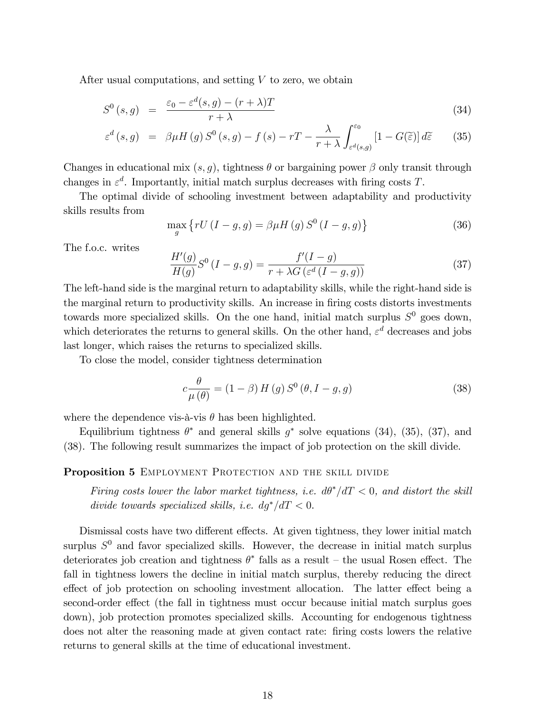After usual computations, and setting  $V$  to zero, we obtain

$$
S^{0}(s,g) = \frac{\varepsilon_{0} - \varepsilon^{d}(s,g) - (r+\lambda)T}{r+\lambda}
$$
\n(34)

$$
\varepsilon^{d}(s,g) = \beta \mu H(g) S^{0}(s,g) - f(s) - rT - \frac{\lambda}{r+\lambda} \int_{\varepsilon^{d}(s,g)}^{\varepsilon_{0}} [1 - G(\widetilde{\varepsilon})] d\widetilde{\varepsilon}
$$
 (35)

Changes in educational mix  $(s, q)$ , tightness  $\theta$  or bargaining power  $\beta$  only transit through changes in  $\varepsilon^d$ . Importantly, initial match surplus decreases with firing costs T.

The optimal divide of schooling investment between adaptability and productivity skills results from

$$
\max_{g} \left\{ rU\left(I-g,g\right) = \beta \mu H\left(g\right) S^{0}\left(I-g,g\right) \right\} \tag{36}
$$

The f.o.c. writes

$$
\frac{H'(g)}{H(g)}S^0(I-g,g)=\frac{f'(I-g)}{r+\lambda G\left(\varepsilon^d\left(I-g,g\right)\right)}
$$
(37)

The left-hand side is the marginal return to adaptability skills, while the right-hand side is the marginal return to productivity skills. An increase in firing costs distorts investments towards more specialized skills. On the one hand, initial match surplus  $S^0$  goes down, which deteriorates the returns to general skills. On the other hand,  $\varepsilon^d$  decreases and jobs last longer, which raises the returns to specialized skills.

To close the model, consider tightness determination

$$
c\frac{\theta}{\mu(\theta)} = (1 - \beta) H(g) S^{0} (\theta, I - g, g)
$$
\n(38)

where the dependence vis-à-vis  $\theta$  has been highlighted.

Equilibrium tightness  $\theta^*$  and general skills  $g^*$  solve equations (34), (35), (37), and (38). The following result summarizes the impact of job protection on the skill divide.

#### Proposition 5 EMPLOYMENT PROTECTION AND THE SKILL DIVIDE

Firing costs lower the labor market tightness, i.e.  $d\theta^*/dT < 0$ , and distort the skill divide towards specialized skills, i.e.  $dq^*/dT < 0$ .

Dismissal costs have two different effects. At given tightness, they lower initial match surplus  $S^0$  and favor specialized skills. However, the decrease in initial match surplus deteriorates job creation and tightness  $\theta^*$  falls as a result – the usual Rosen effect. The fall in tightness lowers the decline in initial match surplus, thereby reducing the direct effect of job protection on schooling investment allocation. The latter effect being a second-order effect (the fall in tightness must occur because initial match surplus goes down), job protection promotes specialized skills. Accounting for endogenous tightness does not alter the reasoning made at given contact rate: Öring costs lowers the relative returns to general skills at the time of educational investment.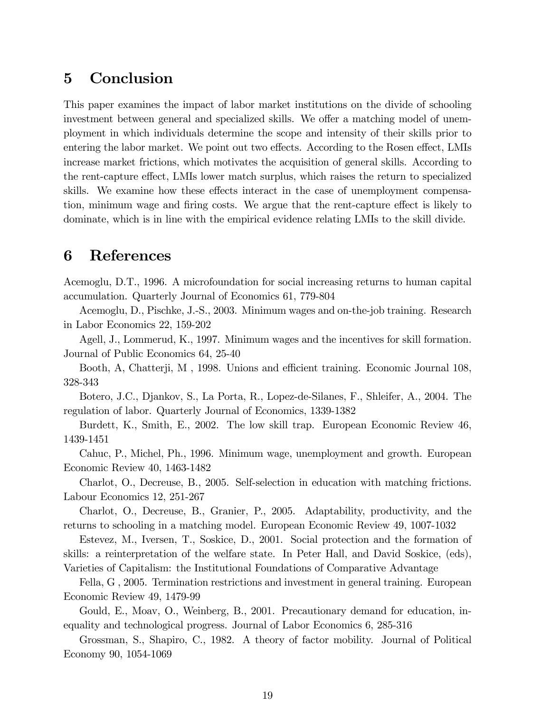# 5 Conclusion

This paper examines the impact of labor market institutions on the divide of schooling investment between general and specialized skills. We offer a matching model of unemployment in which individuals determine the scope and intensity of their skills prior to entering the labor market. We point out two effects. According to the Rosen effect, LMIs increase market frictions, which motivates the acquisition of general skills. According to the rent-capture effect, LMIs lower match surplus, which raises the return to specialized skills. We examine how these effects interact in the case of unemployment compensation, minimum wage and firing costs. We argue that the rent-capture effect is likely to dominate, which is in line with the empirical evidence relating LMIs to the skill divide.

# 6 References

Acemoglu, D.T., 1996. A microfoundation for social increasing returns to human capital accumulation. Quarterly Journal of Economics 61, 779-804

Acemoglu, D., Pischke, J.-S., 2003. Minimum wages and on-the-job training. Research in Labor Economics 22, 159-202

Agell, J., Lommerud, K., 1997. Minimum wages and the incentives for skill formation. Journal of Public Economics 64, 25-40

Booth, A, Chatterji, M, 1998. Unions and efficient training. Economic Journal 108, 328-343

Botero, J.C., Djankov, S., La Porta, R., Lopez-de-Silanes, F., Shleifer, A., 2004. The regulation of labor. Quarterly Journal of Economics, 1339-1382

Burdett, K., Smith, E., 2002. The low skill trap. European Economic Review 46, 1439-1451

Cahuc, P., Michel, Ph., 1996. Minimum wage, unemployment and growth. European Economic Review 40, 1463-1482

Charlot, O., Decreuse, B., 2005. Self-selection in education with matching frictions. Labour Economics 12, 251-267

Charlot, O., Decreuse, B., Granier, P., 2005. Adaptability, productivity, and the returns to schooling in a matching model. European Economic Review 49, 1007-1032

Estevez, M., Iversen, T., Soskice, D., 2001. Social protection and the formation of skills: a reinterpretation of the welfare state. In Peter Hall, and David Soskice, (eds), Varieties of Capitalism: the Institutional Foundations of Comparative Advantage

Fella, G , 2005. Termination restrictions and investment in general training. European Economic Review 49, 1479-99

Gould, E., Moav, O., Weinberg, B., 2001. Precautionary demand for education, inequality and technological progress. Journal of Labor Economics 6, 285-316

Grossman, S., Shapiro, C., 1982. A theory of factor mobility. Journal of Political Economy 90, 1054-1069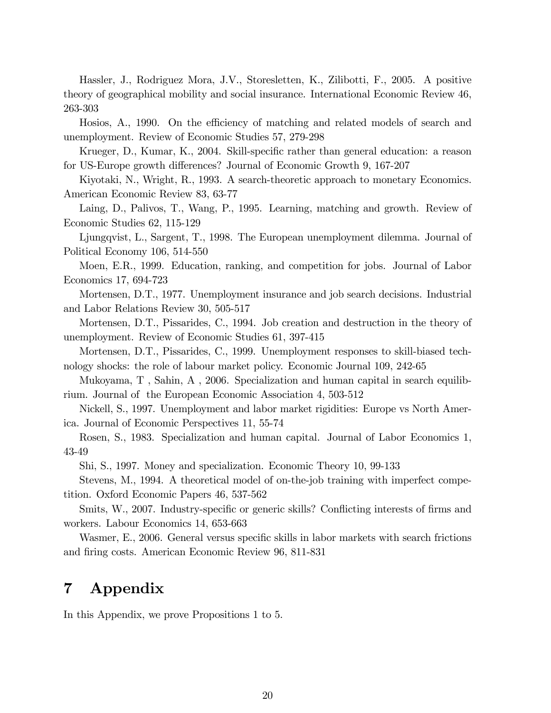Hassler, J., Rodriguez Mora, J.V., Storesletten, K., Zilibotti, F., 2005. A positive theory of geographical mobility and social insurance. International Economic Review 46, 263-303

Hosios, A., 1990. On the efficiency of matching and related models of search and unemployment. Review of Economic Studies 57, 279-298

Krueger, D., Kumar, K., 2004. Skill-specific rather than general education: a reason for US-Europe growth differences? Journal of Economic Growth 9, 167-207

Kiyotaki, N., Wright, R., 1993. A search-theoretic approach to monetary Economics. American Economic Review 83, 63-77

Laing, D., Palivos, T., Wang, P., 1995. Learning, matching and growth. Review of Economic Studies 62, 115-129

Ljungqvist, L., Sargent, T., 1998. The European unemployment dilemma. Journal of Political Economy 106, 514-550

Moen, E.R., 1999. Education, ranking, and competition for jobs. Journal of Labor Economics 17, 694-723

Mortensen, D.T., 1977. Unemployment insurance and job search decisions. Industrial and Labor Relations Review 30, 505-517

Mortensen, D.T., Pissarides, C., 1994. Job creation and destruction in the theory of unemployment. Review of Economic Studies 61, 397-415

Mortensen, D.T., Pissarides, C., 1999. Unemployment responses to skill-biased technology shocks: the role of labour market policy. Economic Journal 109, 242-65

Mukoyama, T , Sahin, A , 2006. Specialization and human capital in search equilibrium. Journal of the European Economic Association 4, 503-512

Nickell, S., 1997. Unemployment and labor market rigidities: Europe vs North America. Journal of Economic Perspectives 11, 55-74

Rosen, S., 1983. Specialization and human capital. Journal of Labor Economics 1, 43-49

Shi, S., 1997. Money and specialization. Economic Theory 10, 99-133

Stevens, M., 1994. A theoretical model of on-the-job training with imperfect competition. Oxford Economic Papers 46, 537-562

Smits, W., 2007. Industry-specific or generic skills? Conflicting interests of firms and workers. Labour Economics 14, 653-663

Wasmer, E., 2006. General versus specific skills in labor markets with search frictions and firing costs. American Economic Review 96, 811-831

# 7 Appendix

In this Appendix, we prove Propositions 1 to 5.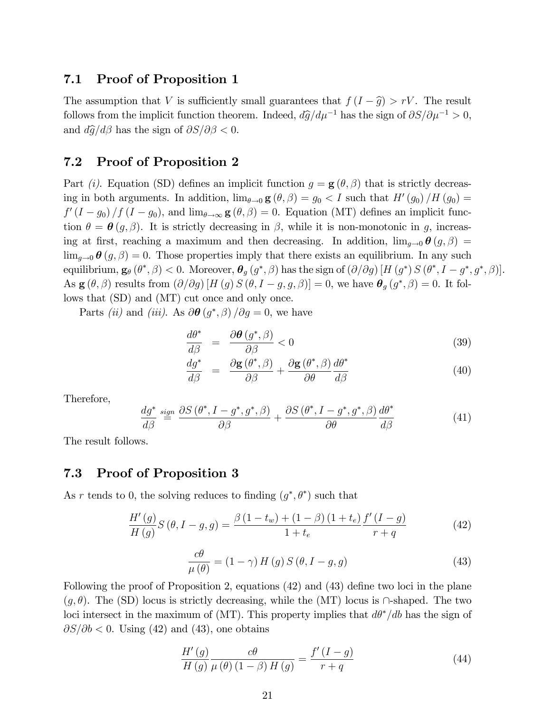## 7.1 Proof of Proposition 1

The assumption that V is sufficiently small guarantees that  $f(I - \hat{g}) > rV$ . The result follows from the implicit function theorem. Indeed,  $d\hat{g}/d\mu^{-1}$  has the sign of  $\partial S/\partial \mu^{-1} > 0$ , and  $d\hat{g}/d\beta$  has the sign of  $\partial S/\partial \beta < 0$ .

### 7.2 Proof of Proposition 2

Part (i). Equation (SD) defines an implicit function  $g = \mathbf{g}(\theta, \beta)$  that is strictly decreasing in both arguments. In addition,  $\lim_{\theta \to 0} \mathbf{g}(\theta, \beta) = g_0 < I$  such that  $H'(g_0)/H(g_0) =$  $f'(I-g_0)/f(I-g_0)$ , and  $\lim_{\theta\to\infty} \mathbf{g}(\theta,\beta)=0$ . Equation (MT) defines an implicit function  $\theta = \theta(g, \beta)$ . It is strictly decreasing in  $\beta$ , while it is non-monotonic in g, increasing at first, reaching a maximum and then decreasing. In addition,  $\lim_{q\to 0} \theta(g, \beta) =$  $\lim_{g\to 0} \theta(g,\beta) = 0$ . Those properties imply that there exists an equilibrium. In any such equilibrium,  $\mathbf{g}_{\theta}(\theta^*, \beta) < 0$ . Moreover,  $\boldsymbol{\theta}_g(g^*, \beta)$  has the sign of  $(\partial/\partial g)$   $[H(g^*) S (\theta^*, I - g^*, g^*, \beta)].$ As  $\mathbf{g}(\theta, \beta)$  results from  $(\partial/\partial g)$  [H  $(g)$  S  $(\theta, I - g, g, \beta)$ ] = 0, we have  $\theta_g(g^*, \beta) = 0$ . It follows that (SD) and (MT) cut once and only once.

Parts *(ii)* and *(iii)*. As  $\partial \theta (g^*, \beta) / \partial g = 0$ , we have

$$
\frac{d\theta^*}{d\beta} = \frac{\partial \theta\left(g^*, \beta\right)}{\partial \beta} < 0 \tag{39}
$$

$$
\frac{dg^*}{d\beta} = \frac{\partial \mathbf{g}(\theta^*, \beta)}{\partial \beta} + \frac{\partial \mathbf{g}(\theta^*, \beta)}{\partial \theta} \frac{d\theta^*}{d\beta} \tag{40}
$$

Therefore,

$$
\frac{dg^*}{d\beta} \stackrel{sign}{=} \frac{\partial S\left(\theta^*, I - g^*, g^*, \beta\right)}{\partial \beta} + \frac{\partial S\left(\theta^*, I - g^*, g^*, \beta\right)}{\partial \theta} \frac{d\theta^*}{d\beta} \tag{41}
$$

The result follows.

### 7.3 Proof of Proposition 3

As r tends to 0, the solving reduces to finding  $(g^*, \theta^*)$  such that

$$
\frac{H'(g)}{H(g)}S(\theta, I-g, g) = \frac{\beta (1 - t_w) + (1 - \beta) (1 + t_e)}{1 + t_e} \frac{f'(I - g)}{r + q}
$$
(42)

$$
\frac{c\theta}{\mu(\theta)} = (1 - \gamma) H(g) S(\theta, I - g, g)
$$
\n(43)

Following the proof of Proposition 2, equations  $(42)$  and  $(43)$  define two loci in the plane  $(q, \theta)$ . The (SD) locus is strictly decreasing, while the (MT) locus is  $\cap$ -shaped. The two loci intersect in the maximum of (MT). This property implies that  $d\theta^*/db$  has the sign of  $\partial S/\partial b < 0$ . Using (42) and (43), one obtains

$$
\frac{H'(g)}{H(g)}\frac{c\theta}{\mu(\theta)(1-\beta)H(g)} = \frac{f'(I-g)}{r+q}
$$
\n(44)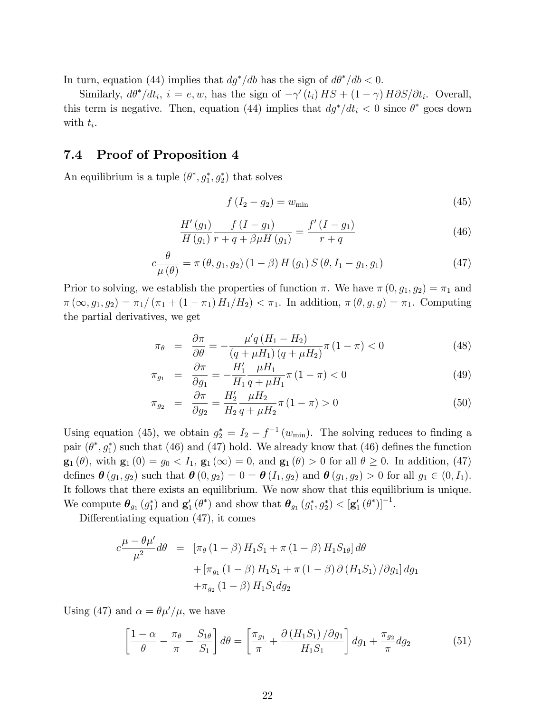In turn, equation (44) implies that  $dg^*/db$  has the sign of  $d\theta^*/db < 0$ .

Similarly,  $d\theta^* / dt_i$ ,  $i = e, w$ , has the sign of  $-\gamma'(t_i) HS + (1 - \gamma) H \partial S / \partial t_i$ . Overall, this term is negative. Then, equation (44) implies that  $dg^*/dt_i < 0$  since  $\theta^*$  goes down with  $t_i$ .

## 7.4 Proof of Proposition 4

An equilibrium is a tuple  $(\theta^*, g_1^*, g_2^*)$  that solves

$$
f(I_2 - g_2) = w_{\min} \tag{45}
$$

$$
\frac{H'(g_1)}{H(g_1)} \frac{f(I - g_1)}{r + q + \beta \mu H(g_1)} = \frac{f'(I - g_1)}{r + q}
$$
\n(46)

$$
c\frac{\theta}{\mu(\theta)} = \pi(\theta, g_1, g_2) (1 - \beta) H(g_1) S(\theta, I_1 - g_1, g_1)
$$
 (47)

Prior to solving, we establish the properties of function  $\pi$ . We have  $\pi(0, g_1, g_2) = \pi_1$  and  $\pi(\infty, g_1, g_2) = \pi_1/(\pi_1 + (1 - \pi_1) H_1/H_2) < \pi_1$ . In addition,  $\pi(\theta, g, g) = \pi_1$ . Computing the partial derivatives, we get

$$
\pi_{\theta} = \frac{\partial \pi}{\partial \theta} = -\frac{\mu' q (H_1 - H_2)}{(q + \mu H_1) (q + \mu H_2)} \pi (1 - \pi) < 0 \tag{48}
$$

$$
\pi_{g_1} = \frac{\partial \pi}{\partial g_1} = -\frac{H'_1}{H_1} \frac{\mu H_1}{q + \mu H_1} \pi (1 - \pi) < 0 \tag{49}
$$

$$
\pi_{g_2} = \frac{\partial \pi}{\partial g_2} = \frac{H'_2}{H_2} \frac{\mu H_2}{q + \mu H_2} \pi (1 - \pi) > 0 \tag{50}
$$

Using equation (45), we obtain  $g_2^* = I_2 - f^{-1}(w_{\min})$ . The solving reduces to finding a pair  $(\theta^*, g_1^*)$  such that (46) and (47) hold. We already know that (46) defines the function  $\mathbf{g}_1(\theta)$ , with  $\mathbf{g}_1(0) = g_0 < I_1$ ,  $\mathbf{g}_1(\infty) = 0$ , and  $\mathbf{g}_1(\theta) > 0$  for all  $\theta \geq 0$ . In addition, (47) defines  $\theta(g_1, g_2)$  such that  $\theta(0, g_2) = 0 = \theta(I_1, g_2)$  and  $\theta(g_1, g_2) > 0$  for all  $g_1 \in (0, I_1)$ . It follows that there exists an equilibrium. We now show that this equilibrium is unique. We compute  $\theta_{g_1}(g_1^*)$  and  $\mathbf{g}'_1(\theta^*)$  and show that  $\theta_{g_1}(g_1^*, g_2^*) < [\mathbf{g}'_1(\theta^*)]^{-1}$ .

Differentiating equation  $(47)$ , it comes

$$
c \frac{\mu - \theta \mu'}{\mu^2} d\theta = [\pi_{\theta} (1 - \beta) H_1 S_1 + \pi (1 - \beta) H_1 S_{1\theta}] d\theta + [\pi_{g_1} (1 - \beta) H_1 S_1 + \pi (1 - \beta) \partial (H_1 S_1) / \partial g_1] dg_1 + \pi_{g_2} (1 - \beta) H_1 S_1 dg_2
$$

Using (47) and  $\alpha = \theta \mu'/\mu$ , we have

$$
\left[\frac{1-\alpha}{\theta} - \frac{\pi_{\theta}}{\pi} - \frac{S_{1\theta}}{S_1}\right]d\theta = \left[\frac{\pi_{g_1}}{\pi} + \frac{\partial \left(H_1 S_1\right)/\partial g_1}{H_1 S_1}\right]dg_1 + \frac{\pi_{g_2}}{\pi}dg_2\tag{51}
$$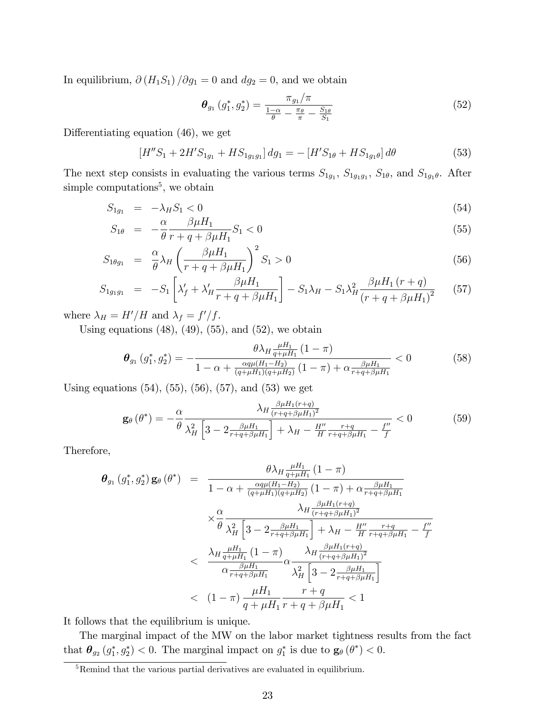In equilibrium,  $\partial (H_1S_1)/\partial g_1 = 0$  and  $dg_2 = 0$ , and we obtain

$$
\boldsymbol{\theta}_{g_1} \left( g_1^*, g_2^* \right) = \frac{\pi_{g_1}/\pi}{\frac{1-\alpha}{\theta} - \frac{\pi_{\theta}}{\pi} - \frac{S_{1\theta}}{S_1}} \tag{52}
$$

Differentiating equation  $(46)$ , we get

$$
[H''S_1 + 2H'S_{1g_1} + HS_{1g_1g_1}] dg_1 = -[H'S_{1\theta} + HS_{1g_1\theta}] d\theta \tag{53}
$$

The next step consists in evaluating the various terms  $S_{1g_1}, S_{1g_1g_1}, S_{1\theta}$ , and  $S_{1g_1\theta}$ . After simple computations<sup>5</sup>, we obtain

$$
S_{1g_1} = -\lambda_H S_1 < 0 \tag{54}
$$

$$
S_{1\theta} = -\frac{\alpha}{\theta} \frac{\beta \mu H_1}{r + q + \beta \mu H_1} S_1 < 0 \tag{55}
$$

$$
S_{1\theta g_1} = \frac{\alpha}{\theta} \lambda_H \left( \frac{\beta \mu H_1}{r + q + \beta \mu H_1} \right)^2 S_1 > 0 \tag{56}
$$

$$
S_{1g_1g_1} = -S_1 \left[ \lambda_f' + \lambda_H' \frac{\beta \mu H_1}{r + q + \beta \mu H_1} \right] - S_1 \lambda_H - S_1 \lambda_H^2 \frac{\beta \mu H_1 (r + q)}{(r + q + \beta \mu H_1)^2} \tag{57}
$$

where  $\lambda_H = H'/H$  and  $\lambda_f = f'/f$ .

Using equations  $(48)$ ,  $(49)$ ,  $(55)$ , and  $(52)$ , we obtain

$$
\theta_{g_1}(g_1^*, g_2^*) = -\frac{\theta \lambda_H \frac{\mu H_1}{q + \mu H_1} (1 - \pi)}{1 - \alpha + \frac{\alpha q \mu (H_1 - H_2)}{(q + \mu H_1)(q + \mu H_2)} (1 - \pi) + \alpha \frac{\beta \mu H_1}{r + q + \beta \mu H_1}} < 0 \tag{58}
$$

Using equations  $(54)$ ,  $(55)$ ,  $(56)$ ,  $(57)$ , and  $(53)$  we get

$$
\mathbf{g}_{\theta}(\theta^{*}) = -\frac{\alpha}{\theta} \frac{\lambda_{H} \frac{\beta_{\mu} H_{1}(r+q)}{(r+q+\beta_{\mu}H_{1})^{2}}}{\lambda_{H}^{2} \left[3 - 2\frac{\beta_{\mu} H_{1}}{r+q+\beta_{\mu}H_{1}}\right] + \lambda_{H} - \frac{H''}{H} \frac{r+q}{r+q+\beta_{\mu}H_{1}} - \frac{f''}{f}} < 0
$$
(59)

Therefore,

$$
\theta_{g_1}(g_1^*, g_2^*) \mathbf{g}_{\theta}(\theta^*) = \frac{\theta \lambda_H \frac{\mu H_1}{q + \mu H_1} (1 - \pi)}{1 - \alpha + \frac{\alpha q \mu (H_1 - H_2)}{(q + \mu H_1)(q + \mu H_2)} (1 - \pi) + \alpha \frac{\beta \mu H_1}{r + q + \beta \mu H_1}} \times \frac{\alpha}{\theta} \frac{\lambda_H \frac{\beta \mu H_1(r + q)}{(r + q + \beta \mu H_1)^2}}{\lambda_H \left[3 - 2 \frac{\beta \mu H_1}{r + q + \beta \mu H_1}\right] + \lambda_H - \frac{H''}{H} \frac{r + q}{r + q + \beta \mu H_1} - \frac{f''}{f}} \times \frac{\lambda_H \frac{\mu H_1}{q + \mu H_1} (1 - \pi)}{\alpha \frac{\beta \mu H_1(r + q)}{r + q + \beta \mu H_1}} \alpha \frac{\lambda_H \frac{\beta \mu H_1(r + q)}{(r + q + \beta \mu H_1)^2}}{\lambda_H^2 \left[3 - 2 \frac{\beta \mu H_1}{r + q + \beta \mu H_1}\right]} \times \frac{\mu H_1}{q + \mu H_1} \frac{r + q}{r + q + \beta \mu H_1} < 1
$$

It follows that the equilibrium is unique.

The marginal impact of the MW on the labor market tightness results from the fact that  $\theta_{g_2}(g_1^*, g_2^*)$  < 0. The marginal impact on  $g_1^*$  is due to  $\mathbf{g}_{\theta}(\theta^*)$  < 0.

<sup>&</sup>lt;sup>5</sup>Remind that the various partial derivatives are evaluated in equilibrium.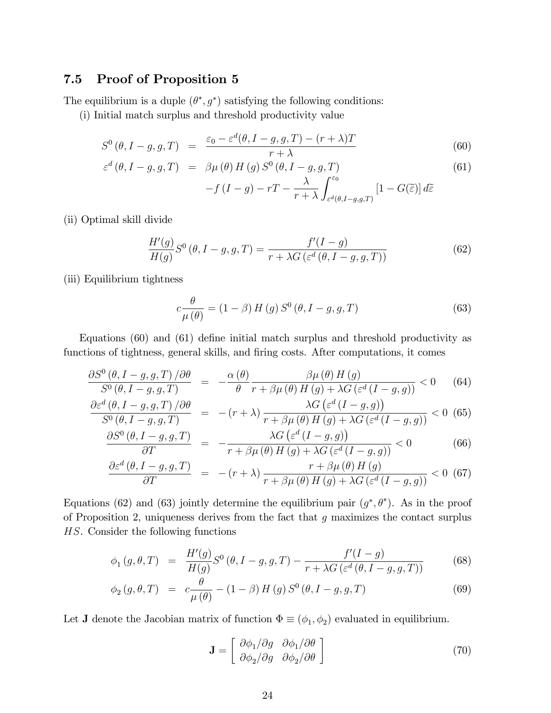# 7.5 Proof of Proposition 5

The equilibrium is a duple  $(\theta^*, g^*)$  satisfying the following conditions:

(i) Initial match surplus and threshold productivity value

$$
S^{0}(\theta, I-g, g, T) = \frac{\varepsilon_{0} - \varepsilon^{d}(\theta, I-g, g, T) - (r + \lambda)T}{r + \lambda}
$$
(60)

$$
\varepsilon^{d}(\theta, I-g, g, T) = \beta \mu(\theta) H(g) S^{0}(\theta, I-g, g, T)
$$
\n(61)

$$
-f(I-g) - rT - \frac{\lambda}{r+\lambda} \int_{\varepsilon^d(\theta, I-g, g, T)}^{\varepsilon_0} [1 - G(\widetilde{\varepsilon})] d\widetilde{\varepsilon}
$$

(ii) Optimal skill divide

$$
\frac{H'(g)}{H(g)}S^0\left(\theta, I-g, g, T\right) = \frac{f'(I-g)}{r + \lambda G\left(\varepsilon^d\left(\theta, I-g, g, T\right)\right)}\tag{62}
$$

(iii) Equilibrium tightness

$$
c\frac{\theta}{\mu(\theta)} = (1 - \beta) H(g) S^{0}(\theta, I - g, g, T)
$$
\n(63)

Equations  $(60)$  and  $(61)$  define initial match surplus and threshold productivity as functions of tightness, general skills, and firing costs. After computations, it comes

$$
\frac{\partial S^{0}(\theta, I-g, g, T)/\partial \theta}{S^{0}(\theta, I-g, g, T)} = -\frac{\alpha(\theta)}{\theta} \frac{\beta \mu(\theta) H(g)}{r + \beta \mu(\theta) H(g) + \lambda G(\varepsilon^{d} (I-g, g))} < 0 \quad (64)
$$

$$
\frac{\partial \varepsilon^{d} (\theta, I - g, g, T) / \partial \theta}{S^{0} (\theta, I - g, g, T)} = -(r + \lambda) \frac{\lambda G (\varepsilon^{d} (I - g, g))}{r + \beta \mu (\theta) H (g) + \lambda G (\varepsilon^{d} (I - g, g))} < 0 \tag{65}
$$

$$
\frac{\partial S^{0}(\theta, I-g, g, T)}{\partial T} = -\frac{\lambda G\left(\varepsilon^{d}\left(I-g, g\right)\right)}{r + \beta \mu(\theta) H\left(g\right) + \lambda G\left(\varepsilon^{d}\left(I-g, g\right)\right)} < 0\tag{66}
$$

$$
\frac{\partial \varepsilon^{d} (\theta, I - g, g, T)}{\partial T} = -(r + \lambda) \frac{r + \beta \mu (\theta) H(g)}{r + \beta \mu (\theta) H(g) + \lambda G (\varepsilon^{d} (I - g, g))} < 0 \tag{67}
$$

Equations (62) and (63) jointly determine the equilibrium pair  $(g^*,\theta^*)$ . As in the proof of Proposition 2, uniqueness derives from the fact that  $g$  maximizes the contact surplus HS. Consider the following functions

$$
\phi_1(g, \theta, T) = \frac{H'(g)}{H(g)} S^0(\theta, I - g, g, T) - \frac{f'(I - g)}{r + \lambda G\left(\varepsilon^d(\theta, I - g, g, T)\right)}
$$
(68)

$$
\phi_2(g,\theta,T) = c \frac{\theta}{\mu(\theta)} - (1-\beta) H(g) S^0(\theta, I-g, g, T) \tag{69}
$$

Let **J** denote the Jacobian matrix of function  $\Phi \equiv (\phi_1, \phi_2)$  evaluated in equilibrium.

$$
\mathbf{J} = \begin{bmatrix} \frac{\partial \phi_1}{\partial g} & \frac{\partial \phi_1}{\partial \theta} \\ \frac{\partial \phi_2}{\partial g} & \frac{\partial \phi_2}{\partial \theta} \end{bmatrix}
$$
(70)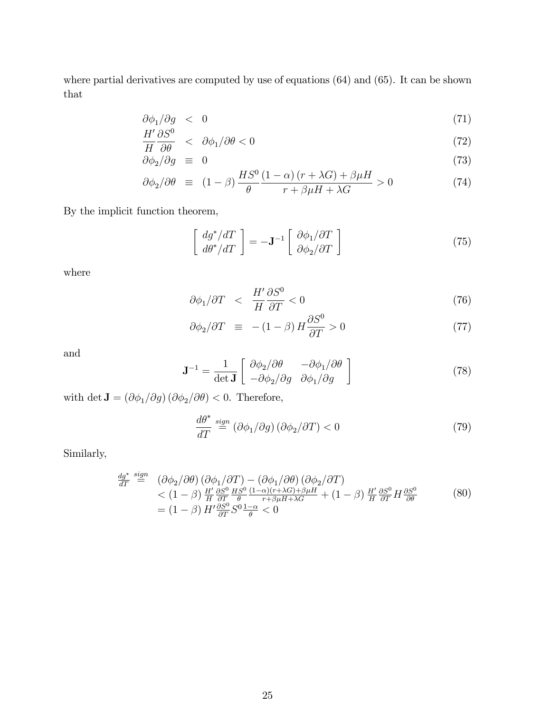where partial derivatives are computed by use of equations (64) and (65). It can be shown that

$$
\partial \phi_1 / \partial g \quad < \quad 0 \tag{71}
$$

$$
\frac{H'}{H}\frac{\partial S^0}{\partial \theta} < \partial \phi_1 / \partial \theta < 0 \tag{72}
$$

$$
\frac{\partial \phi_2}{\partial g} \equiv 0 \tag{73}
$$

$$
\partial \phi_2 / \partial \theta \equiv (1 - \beta) \frac{HS^0}{\theta} \frac{(1 - \alpha)(r + \lambda G) + \beta \mu H}{r + \beta \mu H + \lambda G} > 0 \tag{74}
$$

By the implicit function theorem,

$$
\begin{bmatrix} dg^* / dT \\ d\theta^* / dT \end{bmatrix} = -\mathbf{J}^{-1} \begin{bmatrix} \partial \phi_1 / \partial T \\ \partial \phi_2 / \partial T \end{bmatrix}
$$
 (75)

where

$$
\partial \phi_1 / \partial T \quad < \quad \frac{H'}{H} \frac{\partial S^0}{\partial T} < 0 \tag{76}
$$

$$
\partial \phi_2 / \partial T \equiv -(1 - \beta) H \frac{\partial S^0}{\partial T} > 0 \tag{77}
$$

and

$$
\mathbf{J}^{-1} = \frac{1}{\det \mathbf{J}} \begin{bmatrix} \partial \phi_2 / \partial \theta & -\partial \phi_1 / \partial \theta \\ -\partial \phi_2 / \partial g & \partial \phi_1 / \partial g \end{bmatrix}
$$
(78)

with det  $\mathbf{J} = (\partial \phi_1/\partial g) (\partial \phi_2/\partial \theta) < 0$ . Therefore,

$$
\frac{d\theta^*}{dT} \stackrel{sign}{=} (\partial \phi_1/\partial g) (\partial \phi_2/\partial T) < 0 \tag{79}
$$

Similarly,

$$
\frac{dg^*}{dT} \stackrel{sign}{=} (\partial \phi_2 / \partial \theta) (\partial \phi_1 / \partial T) - (\partial \phi_1 / \partial \theta) (\partial \phi_2 / \partial T) \n< (1 - \beta) \frac{H'}{H} \frac{\partial S^0}{\partial T} \frac{HS^0}{\theta} \frac{(1 - \alpha)(r + \lambda G) + \beta \mu H}{r + \beta \mu H + \lambda G} + (1 - \beta) \frac{H'}{H} \frac{\partial S^0}{\partial T} H \frac{\partial S^0}{\partial \theta} \n= (1 - \beta) H' \frac{\partial S^0}{\partial T} S^0 \frac{1 - \alpha}{\theta} < 0
$$
\n(80)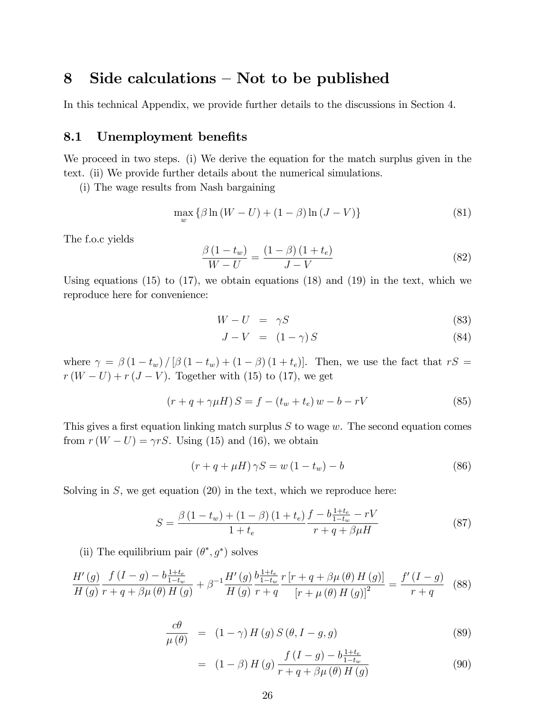# 8 Side calculations  $-$  Not to be published

In this technical Appendix, we provide further details to the discussions in Section 4.

#### 8.1 Unemployment benefits

We proceed in two steps. (i) We derive the equation for the match surplus given in the text. (ii) We provide further details about the numerical simulations.

(i) The wage results from Nash bargaining

$$
\max_{w} \left\{ \beta \ln \left( W - U \right) + (1 - \beta) \ln \left( J - V \right) \right\} \tag{81}
$$

The f.o.c yields

$$
\frac{\beta\left(1-t_w\right)}{W-U} = \frac{\left(1-\beta\right)\left(1+t_e\right)}{J-V} \tag{82}
$$

Using equations  $(15)$  to  $(17)$ , we obtain equations  $(18)$  and  $(19)$  in the text, which we reproduce here for convenience:

$$
W - U = \gamma S \tag{83}
$$

$$
J - V = (1 - \gamma) S \tag{84}
$$

where  $\gamma = \beta (1 - t_w) / [\beta (1 - t_w) + (1 - \beta) (1 + t_e)].$  Then, we use the fact that  $rS =$  $r(W-U) + r(J-V)$ . Together with (15) to (17), we get

$$
(r + q + \gamma \mu H) S = f - (t_w + t_e) w - b - rV
$$
\n(85)

This gives a first equation linking match surplus  $S$  to wage  $w$ . The second equation comes from  $r(W-U) = \gamma rS$ . Using (15) and (16), we obtain

$$
(r + q + \mu H)\gamma S = w(1 - t_w) - b \tag{86}
$$

Solving in  $S$ , we get equation  $(20)$  in the text, which we reproduce here:

$$
S = \frac{\beta (1 - t_w) + (1 - \beta) (1 + t_e)}{1 + t_e} \frac{f - b \frac{1 + t_e}{1 - t_w} - rV}{r + q + \beta \mu H}
$$
(87)

(ii) The equilibrium pair  $(\theta^*, g^*)$  solves

$$
\frac{H'(g)}{H(g)} \frac{f(I-g) - b\frac{1+t_e}{1-t_w}}{r+q+\beta\mu(\theta) H(g)} + \beta^{-1} \frac{H'(g)}{H(g)} \frac{b\frac{1+t_e}{1-t_w}}{r+q} \frac{r[r+q+\beta\mu(\theta) H(g)]}{[r+\mu(\theta) H(g)]^2} = \frac{f'(I-g)}{r+q} \quad (88)
$$

$$
\frac{c\theta}{\mu(\theta)} = (1 - \gamma) H(g) S(\theta, I - g, g)
$$
\n(89)

$$
= (1 - \beta) H(g) \frac{f(I - g) - b \frac{1 + t_e}{1 - t_w}}{r + q + \beta \mu(\theta) H(g)}
$$
(90)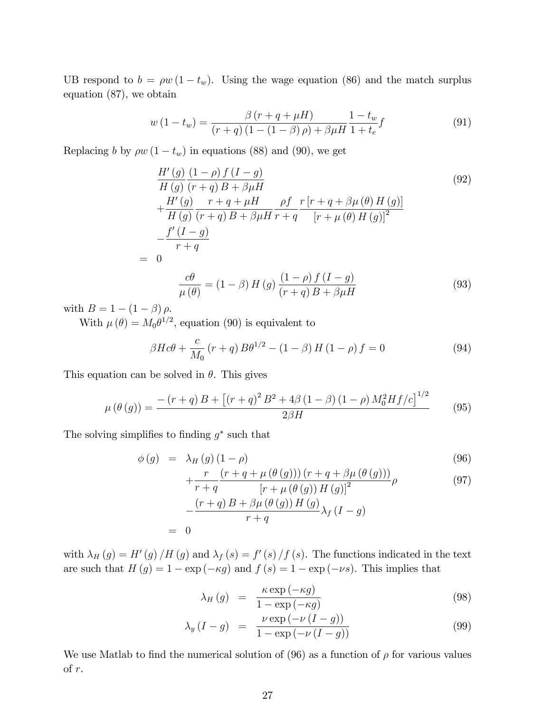UB respond to  $b = \rho w (1 - t_w)$ . Using the wage equation (86) and the match surplus equation (87), we obtain

$$
w(1 - t_w) = \frac{\beta (r + q + \mu H)}{(r + q) (1 - (1 - \beta)\rho) + \beta \mu H} \frac{1 - t_w}{1 + t_e} f
$$
(91)

Replacing b by  $\rho w (1 - t_w)$  in equations (88) and (90), we get

$$
\frac{H'(g)}{H(g)} \frac{(1-\rho) f (I-g)}{(r+q) B + \beta \mu H}
$$
\n
$$
+ \frac{H'(g)}{H(g)} \frac{r+q+\mu H}{(r+q) B + \beta \mu H} \frac{\rho f}{r+q} \frac{r[r+q+\beta \mu(\theta) H(g)]}{[r+\mu(\theta) H(g)]^2}
$$
\n
$$
- \frac{f'(I-g)}{r+q}
$$
\n
$$
= 0
$$
\n
$$
\frac{c\theta}{\mu(\theta)} = (1-\beta) H(g) \frac{(1-\rho) f (I-g)}{(r+q) B + \beta \mu H}
$$
\n(93)

with  $B = 1 - (1 - \beta) \rho$ .

With  $\mu(\theta) = M_0 \theta^{1/2}$ , equation (90) is equivalent to

$$
\beta H c\theta + \frac{c}{M_0} (r+q) B\theta^{1/2} - (1-\beta) H (1-\rho) f = 0
$$
\n(94)

This equation can be solved in  $\theta$ . This gives

$$
\mu(\theta(g)) = \frac{- (r+q)B + \left[ (r+q)^2 B^2 + 4\beta (1-\beta) (1-\rho) M_0^2 H f/c \right]^{1/2}}{2\beta H} \tag{95}
$$

The solving simplifies to finding  $g^*$  such that

$$
\phi(g) = \lambda_H(g) (1 - \rho) \tag{96}
$$
\n
$$
+ \frac{r}{\left(1 - \rho\right)} \frac{(r + q + \mu(\theta(g))) (r + q + \beta \mu(\theta(g)))}{(q \sigma)^2} \tag{97}
$$

$$
\begin{aligned}\n\begin{aligned}\n\mathbf{r} + q & \left[ \mathbf{r} + \mu \left( \theta \left( g \right) \right) H \left( g \right) \right]^2 \\
& - \frac{\left( \mathbf{r} + q \right) B + \beta \mu \left( \theta \left( g \right) \right) H \left( g \right)}{\mathbf{r} + q} \lambda_f \left( I - g \right)\n\end{aligned}\n\end{aligned}\n\tag{51}
$$

with  $\lambda_H(g) = H'(g) / H(g)$  and  $\lambda_f(s) = f'(s) / f(s)$ . The functions indicated in the text are such that  $H(g) = 1 - \exp(-\kappa g)$  and  $f(s) = 1 - \exp(-\nu s)$ . This implies that

$$
\lambda_H(g) = \frac{\kappa \exp(-\kappa g)}{1 - \exp(-\kappa g)} \tag{98}
$$

$$
\lambda_y(I - g) = \frac{\nu \exp(-\nu(I - g))}{1 - \exp(-\nu(I - g))}
$$
\n(99)

We use Matlab to find the numerical solution of (96) as a function of  $\rho$  for various values of r.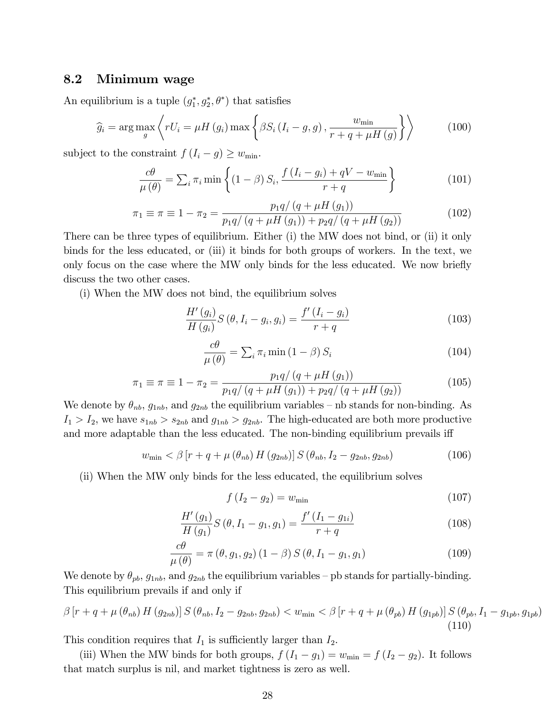### 8.2 Minimum wage

An equilibrium is a tuple  $(g_1^*, g_2^*, \theta^*)$  that satisfies

$$
\widehat{g}_i = \arg \max_{g} \left\langle rU_i = \mu H\left(g_i\right) \max \left\{\beta S_i \left(I_i - g, g\right), \frac{w_{\min}}{r + q + \mu H\left(g\right)}\right\}\right\rangle \tag{100}
$$

subject to the constraint  $f(I_i - g) \geq w_{\min}$ .

$$
\frac{c\theta}{\mu(\theta)} = \sum_{i} \pi_i \min \left\{ (1-\beta) S_i, \frac{f(I_i - g_i) + qV - w_{\min}}{r+q} \right\}
$$
(101)

$$
\pi_1 \equiv \pi \equiv 1 - \pi_2 = \frac{p_1 q / (q + \mu H (g_1))}{p_1 q / (q + \mu H (g_1)) + p_2 q / (q + \mu H (g_2))}
$$
(102)

There can be three types of equilibrium. Either (i) the MW does not bind, or (ii) it only binds for the less educated, or (iii) it binds for both groups of workers. In the text, we only focus on the case where the MW only binds for the less educated. We now briefly discuss the two other cases.

(i) When the MW does not bind, the equilibrium solves

$$
\frac{H'(g_i)}{H(g_i)}S(\theta, I_i - g_i, g_i) = \frac{f'(I_i - g_i)}{r + q}
$$
\n(103)

$$
\frac{c\theta}{\mu(\theta)} = \sum_{i} \pi_i \min(1-\beta) S_i \tag{104}
$$

$$
\pi_1 \equiv \pi \equiv 1 - \pi_2 = \frac{p_1 q / (q + \mu H (g_1))}{p_1 q / (q + \mu H (g_1)) + p_2 q / (q + \mu H (g_2))}
$$
(105)

We denote by  $\theta_{nb}$ ,  $g_{1nb}$ , and  $g_{2nb}$  the equilibrium variables – nb stands for non-binding. As  $I_1 > I_2$ , we have  $s_{1nb} > s_{2nb}$  and  $g_{1nb} > g_{2nb}$ . The high-educated are both more productive and more adaptable than the less educated. The non-binding equilibrium prevails iff

$$
w_{\min} < \beta \left[ r + q + \mu \left( \theta_{nb} \right) H \left( g_{2nb} \right) \right] S \left( \theta_{nb}, I_2 - g_{2nb}, g_{2nb} \right) \tag{106}
$$

(ii) When the MW only binds for the less educated, the equilibrium solves

$$
f(I_2 - g_2) = w_{\min} \tag{107}
$$

$$
\frac{H'(g_1)}{H(g_1)}S(\theta, I_1 - g_1, g_1) = \frac{f'(I_1 - g_{1i})}{r + q}
$$
\n(108)

$$
\frac{c\theta}{\mu(\theta)} = \pi(\theta, g_1, g_2) (1 - \beta) S(\theta, I_1 - g_1, g_1)
$$
\n(109)

We denote by  $\theta_{pb}$ ,  $g_{1nb}$ , and  $g_{2nb}$  the equilibrium variables – pb stands for partially-binding. This equilibrium prevails if and only if

$$
\beta \left[ r + q + \mu \left( \theta_{nb} \right) H \left( g_{2nb} \right) \right] S \left( \theta_{nb}, I_2 - g_{2nb}, g_{2nb} \right) < w_{\min} < \beta \left[ r + q + \mu \left( \theta_{pb} \right) H \left( g_{1pb} \right) \right] S \left( \theta_{pb}, I_1 - g_{1pb}, g_{1pb} \right) \tag{110}
$$

This condition requires that  $I_1$  is sufficiently larger than  $I_2$ .

(iii) When the MW binds for both groups,  $f(I_1 - g_1) = w_{\text{min}} = f(I_2 - g_2)$ . It follows that match surplus is nil, and market tightness is zero as well.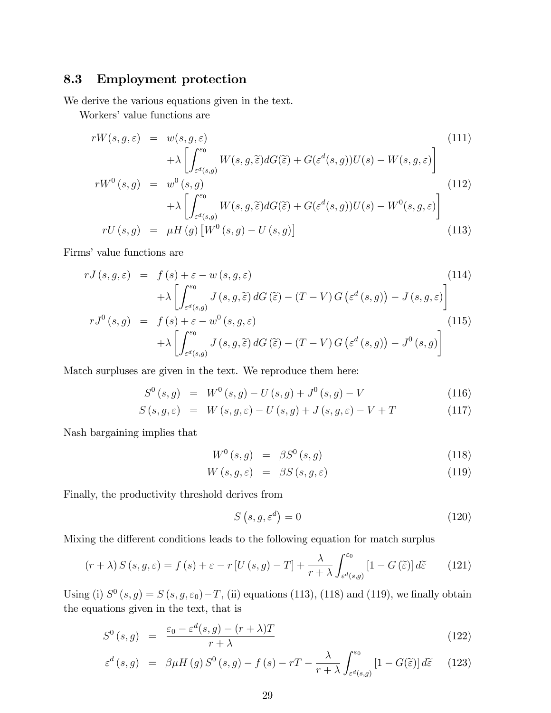### 8.3 Employment protection

We derive the various equations given in the text.

Workers' value functions are

$$
rW(s, g, \varepsilon) = w(s, g, \varepsilon)
$$
\n
$$
+ \lambda \left[ \int_{\varepsilon^{d}(s, g)}^{\varepsilon_0} W(s, g, \tilde{\varepsilon}) dG(\tilde{\varepsilon}) + G(\varepsilon^{d}(s, g)) U(s) - W(s, g, \varepsilon) \right]
$$
\n
$$
rW^{0}(s, g) = w^{0}(s, g)
$$
\n
$$
+ \lambda \left[ \int_{\varepsilon^{d}(s, g)}^{\varepsilon_0} W(s, g, \tilde{\varepsilon}) dG(\tilde{\varepsilon}) + G(\varepsilon^{d}(s, g)) U(s) - W^{0}(s, g, \varepsilon) \right]
$$
\n
$$
rU(s, g) = \mu H(g) \left[ W^{0}(s, g) - U(s, g) \right]
$$
\n(113)

Firms' value functions are

$$
rJ(s, g, \varepsilon) = f(s) + \varepsilon - w(s, g, \varepsilon)
$$
\n
$$
+ \lambda \left[ \int_{\varepsilon^{d}(s,g)}^{\varepsilon^{0}} J(s, g, \widetilde{\varepsilon}) dG(\widetilde{\varepsilon}) - (T - V) G\left(\varepsilon^{d}(s,g)\right) - J(s, g, \varepsilon) \right]
$$
\n
$$
rJ^{0}(s, g) = f(s) + \varepsilon - w^{0}(s, g, \varepsilon)
$$
\n(115)

$$
J^{0}(s,g) = f(s) + \varepsilon - w^{0}(s,g,\varepsilon)
$$
  
+  $\lambda \left[ \int_{\varepsilon^{d}(s,g)}^{\varepsilon^{0}} J(s,g,\widetilde{\varepsilon}) dG(\widetilde{\varepsilon}) - (T-V) G(\varepsilon^{d}(s,g)) - J^{0}(s,g) \right]$  (115)

Match surpluses are given in the text. We reproduce them here:

$$
S^{0}(s,g) = W^{0}(s,g) - U(s,g) + J^{0}(s,g) - V
$$
\n(116)

$$
S(s, g, \varepsilon) = W(s, g, \varepsilon) - U(s, g) + J(s, g, \varepsilon) - V + T \qquad (117)
$$

Nash bargaining implies that

$$
W^{0}(s,g) = \beta S^{0}(s,g) \qquad (118)
$$

$$
W(s, g, \varepsilon) = \beta S(s, g, \varepsilon) \tag{119}
$$

Finally, the productivity threshold derives from

$$
S\left(s,g,\varepsilon^d\right) = 0\tag{120}
$$

Mixing the different conditions leads to the following equation for match surplus

$$
(r + \lambda) S(s, g, \varepsilon) = f(s) + \varepsilon - r \left[ U(s, g) - T \right] + \frac{\lambda}{r + \lambda} \int_{\varepsilon^d(s, g)}^{\varepsilon^0} \left[ 1 - G(\tilde{\varepsilon}) \right] d\tilde{\varepsilon}
$$
 (121)

Using (i)  $S^0(s, g) = S(s, g, \varepsilon_0) - T$ , (ii) equations (113), (118) and (119), we finally obtain the equations given in the text, that is

$$
S^{0}(s,g) = \frac{\varepsilon_{0} - \varepsilon^{d}(s,g) - (r+\lambda)T}{r+\lambda}
$$
\n(122)

$$
\varepsilon^{d}(s,g) = \beta \mu H(g) S^{0}(s,g) - f(s) - rT - \frac{\lambda}{r+\lambda} \int_{\varepsilon^{d}(s,g)}^{\varepsilon_{0}} \left[1 - G(\widetilde{\varepsilon})\right] d\widetilde{\varepsilon}
$$
 (123)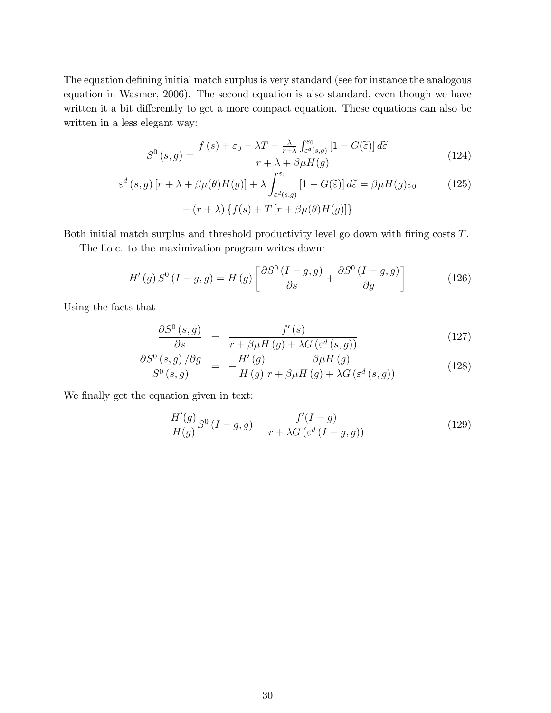The equation defining initial match surplus is very standard (see for instance the analogous equation in Wasmer, 2006). The second equation is also standard, even though we have written it a bit differently to get a more compact equation. These equations can also be written in a less elegant way:

$$
S^{0}(s,g) = \frac{f(s) + \varepsilon_{0} - \lambda T + \frac{\lambda}{r+\lambda} \int_{\varepsilon^{d}(s,g)}^{\varepsilon_{0}} [1 - G(\widetilde{\varepsilon})] d\widetilde{\varepsilon}}{r + \lambda + \beta \mu H(g)}
$$
(124)

$$
\varepsilon^{d}(s,g)[r+\lambda+\beta\mu(\theta)H(g)]+\lambda\int_{\varepsilon^{d}(s,g)}^{\varepsilon_{0}}[1-G(\widetilde{\varepsilon})]d\widetilde{\varepsilon}=\beta\mu H(g)\varepsilon_{0}
$$
(125)  
 
$$
-(r+\lambda)\{f(s)+T[r+\beta\mu(\theta)H(g)]\}
$$

Both initial match surplus and threshold productivity level go down with firing costs  $T$ .

The f.o.c. to the maximization program writes down:

$$
H'(g) S^{0} (I - g, g) = H(g) \left[ \frac{\partial S^{0} (I - g, g)}{\partial s} + \frac{\partial S^{0} (I - g, g)}{\partial g} \right]
$$
(126)

Using the facts that

$$
\frac{\partial S^{0}(s,g)}{\partial s} = \frac{f'(s)}{r + \beta \mu H(g) + \lambda G\left(\varepsilon^{d}(s,g)\right)}\tag{127}
$$

$$
\frac{\partial S^{0}(s,g)/\partial g}{S^{0}(s,g)} = -\frac{H'(g)}{H(g)} \frac{\beta \mu H(g)}{r + \beta \mu H(g) + \lambda G\left(\varepsilon^{d}(s,g)\right)}\tag{128}
$$

We finally get the equation given in text:

$$
\frac{H'(g)}{H(g)}S^0(I-g,g)=\frac{f'(I-g)}{r+\lambda G\left(\varepsilon^d\left(I-g,g\right)\right)}
$$
(129)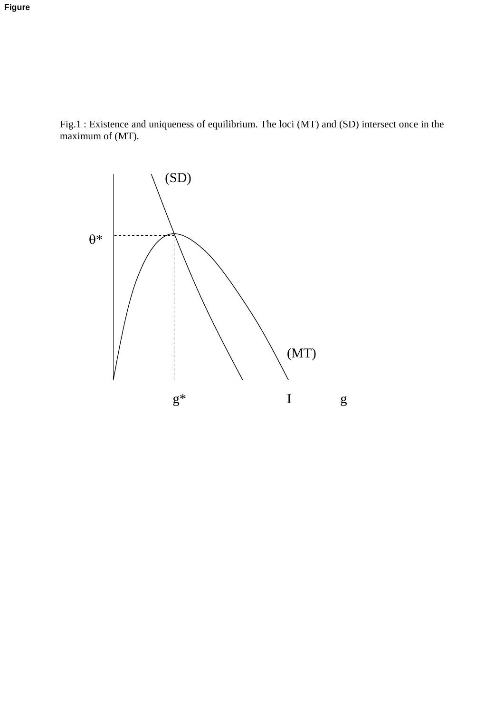Fig.1 : Existence and uniqueness of equilibrium. The loci (MT) and (SD) intersect once in the maximum of (MT).

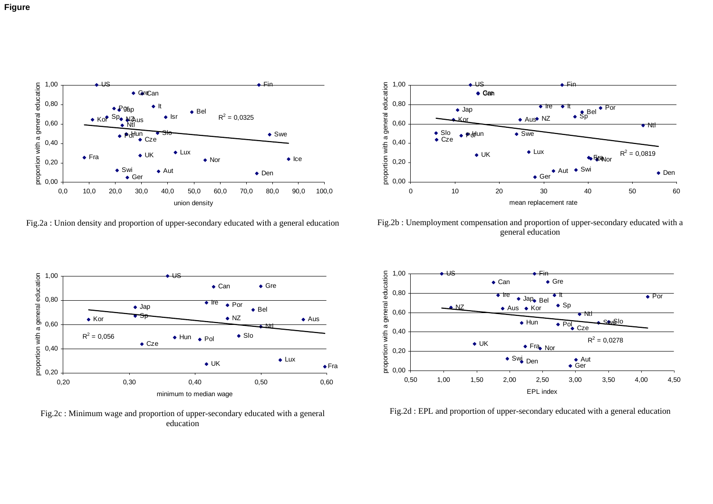



Fig.2a : Union density and proportion of upper-secondary educated with a general education



Fig.2b : Unemployment compensation and proportion of upper-secondary educated with a general education



Fig.2c : Minimum wage and proportion of upper-secondary educated with a general education



Fig.2d : EPL and proportion of upper-secondary educated with a general education